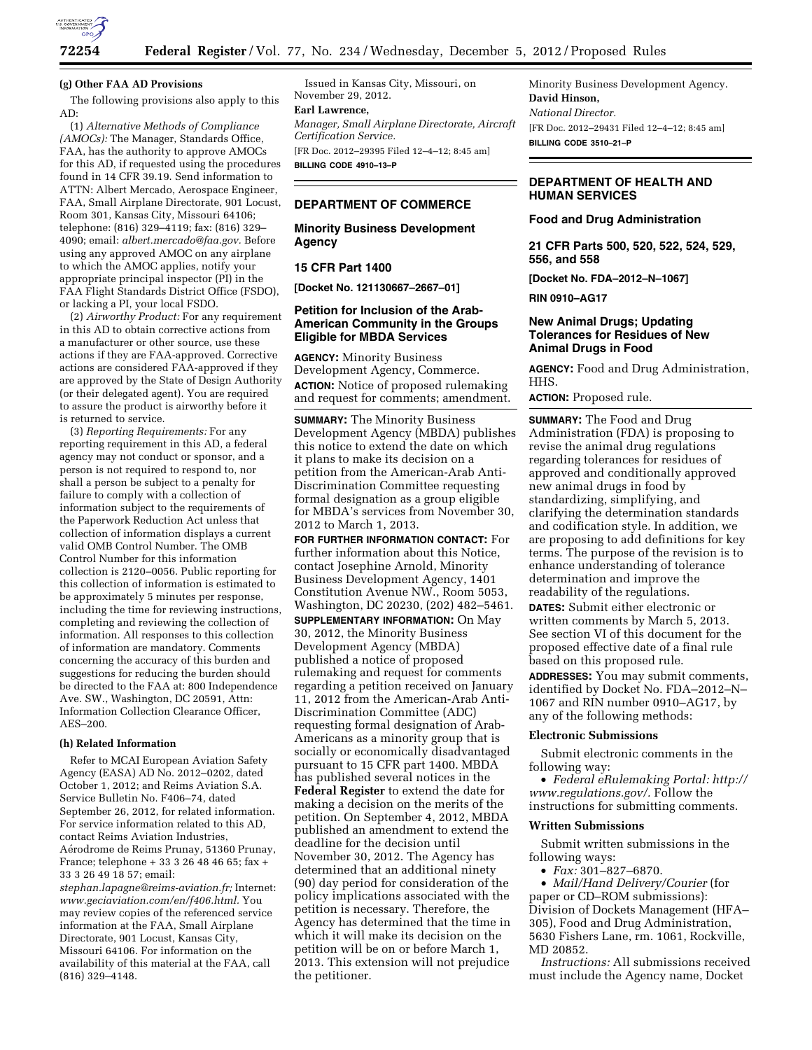

# **(g) Other FAA AD Provisions**

The following provisions also apply to this AD:

(1) *Alternative Methods of Compliance (AMOCs):* The Manager, Standards Office, FAA, has the authority to approve AMOCs for this AD, if requested using the procedures found in 14 CFR 39.19. Send information to ATTN: Albert Mercado, Aerospace Engineer, FAA, Small Airplane Directorate, 901 Locust, Room 301, Kansas City, Missouri 64106; telephone: (816) 329–4119; fax: (816) 329– 4090; email: *[albert.mercado@faa.gov.](mailto:albert.mercado@faa.gov)* Before using any approved AMOC on any airplane to which the AMOC applies, notify your appropriate principal inspector (PI) in the FAA Flight Standards District Office (FSDO), or lacking a PI, your local FSDO.

(2) *Airworthy Product:* For any requirement in this AD to obtain corrective actions from a manufacturer or other source, use these actions if they are FAA-approved. Corrective actions are considered FAA-approved if they are approved by the State of Design Authority (or their delegated agent). You are required to assure the product is airworthy before it is returned to service.

(3) *Reporting Requirements:* For any reporting requirement in this AD, a federal agency may not conduct or sponsor, and a person is not required to respond to, nor shall a person be subject to a penalty for failure to comply with a collection of information subject to the requirements of the Paperwork Reduction Act unless that collection of information displays a current valid OMB Control Number. The OMB Control Number for this information collection is 2120–0056. Public reporting for this collection of information is estimated to be approximately 5 minutes per response, including the time for reviewing instructions, completing and reviewing the collection of information. All responses to this collection of information are mandatory. Comments concerning the accuracy of this burden and suggestions for reducing the burden should be directed to the FAA at: 800 Independence Ave. SW., Washington, DC 20591, Attn: Information Collection Clearance Officer, AES–200.

# **(h) Related Information**

Refer to MCAI European Aviation Safety Agency (EASA) AD No. 2012–0202, dated October 1, 2012; and Reims Aviation S.A. Service Bulletin No. F406–74, dated September 26, 2012, for related information. For service information related to this AD, contact Reims Aviation Industries, Ae´rodrome de Reims Prunay, 51360 Prunay, France; telephone + 33 3 26 48 46 65; fax + 33 3 26 49 18 57; email: *[stephan.lapagne@reims-aviation.fr;](mailto:stephan.lapagne@reims-aviation.fr)* Internet: *[www.geciaviation.com/en/f406.html.](http://www.geciaviation.com/en/f406.html)* You may review copies of the referenced service

information at the FAA, Small Airplane Directorate, 901 Locust, Kansas City, Missouri 64106. For information on the availability of this material at the FAA, call (816) 329–4148.

Issued in Kansas City, Missouri, on November 29, 2012.

# **Earl Lawrence,**

*Manager, Small Airplane Directorate, Aircraft Certification Service.*  [FR Doc. 2012–29395 Filed 12–4–12; 8:45 am] **BILLING CODE 4910–13–P** 

# **DEPARTMENT OF COMMERCE**

## **Minority Business Development Agency**

# **15 CFR Part 1400**

**[Docket No. 121130667–2667–01]** 

# **Petition for Inclusion of the Arab-American Community in the Groups Eligible for MBDA Services**

**AGENCY:** Minority Business Development Agency, Commerce. **ACTION:** Notice of proposed rulemaking and request for comments; amendment.

**SUMMARY:** The Minority Business Development Agency (MBDA) publishes this notice to extend the date on which it plans to make its decision on a petition from the American-Arab Anti-Discrimination Committee requesting formal designation as a group eligible for MBDA's services from November 30, 2012 to March 1, 2013.

**FOR FURTHER INFORMATION CONTACT:** For further information about this Notice, contact Josephine Arnold, Minority Business Development Agency, 1401 Constitution Avenue NW., Room 5053, Washington, DC 20230, (202) 482–5461. **SUPPLEMENTARY INFORMATION:** On May 30, 2012, the Minority Business Development Agency (MBDA) published a notice of proposed rulemaking and request for comments regarding a petition received on January 11, 2012 from the American-Arab Anti-Discrimination Committee (ADC) requesting formal designation of Arab-Americans as a minority group that is socially or economically disadvantaged pursuant to 15 CFR part 1400. MBDA has published several notices in the **Federal Register** to extend the date for making a decision on the merits of the petition. On September 4, 2012, MBDA published an amendment to extend the deadline for the decision until November 30, 2012. The Agency has determined that an additional ninety (90) day period for consideration of the policy implications associated with the petition is necessary. Therefore, the Agency has determined that the time in which it will make its decision on the petition will be on or before March 1, 2013. This extension will not prejudice the petitioner.

Minority Business Development Agency. **David Hinson,**  *National Director.*  [FR Doc. 2012–29431 Filed 12–4–12; 8:45 am] **BILLING CODE 3510–21–P** 

# **DEPARTMENT OF HEALTH AND HUMAN SERVICES**

#### **Food and Drug Administration**

**21 CFR Parts 500, 520, 522, 524, 529, 556, and 558** 

**[Docket No. FDA–2012–N–1067]** 

**RIN 0910–AG17** 

# **New Animal Drugs; Updating Tolerances for Residues of New Animal Drugs in Food**

**AGENCY:** Food and Drug Administration, HHS.

**ACTION:** Proposed rule.

**SUMMARY:** The Food and Drug Administration (FDA) is proposing to revise the animal drug regulations regarding tolerances for residues of approved and conditionally approved new animal drugs in food by standardizing, simplifying, and clarifying the determination standards and codification style. In addition, we are proposing to add definitions for key terms. The purpose of the revision is to enhance understanding of tolerance determination and improve the readability of the regulations. **DATES:** Submit either electronic or written comments by March 5, 2013. See section VI of this document for the proposed effective date of a final rule based on this proposed rule. **ADDRESSES:** You may submit comments, identified by Docket No. FDA–2012–N– 1067 and RIN number 0910–AG17, by any of the following methods:

# **Electronic Submissions**

Submit electronic comments in the following way:

• *Federal eRulemaking Portal: [http://](http://www.regulations.gov/)  [www.regulations.gov/.](http://www.regulations.gov/)* Follow the instructions for submitting comments.

#### **Written Submissions**

Submit written submissions in the following ways:

• *Fax:* 301–827–6870.

• *Mail/Hand Delivery/Courier* (for paper or CD–ROM submissions): Division of Dockets Management (HFA– 305), Food and Drug Administration, 5630 Fishers Lane, rm. 1061, Rockville, MD 20852.

*Instructions:* All submissions received must include the Agency name, Docket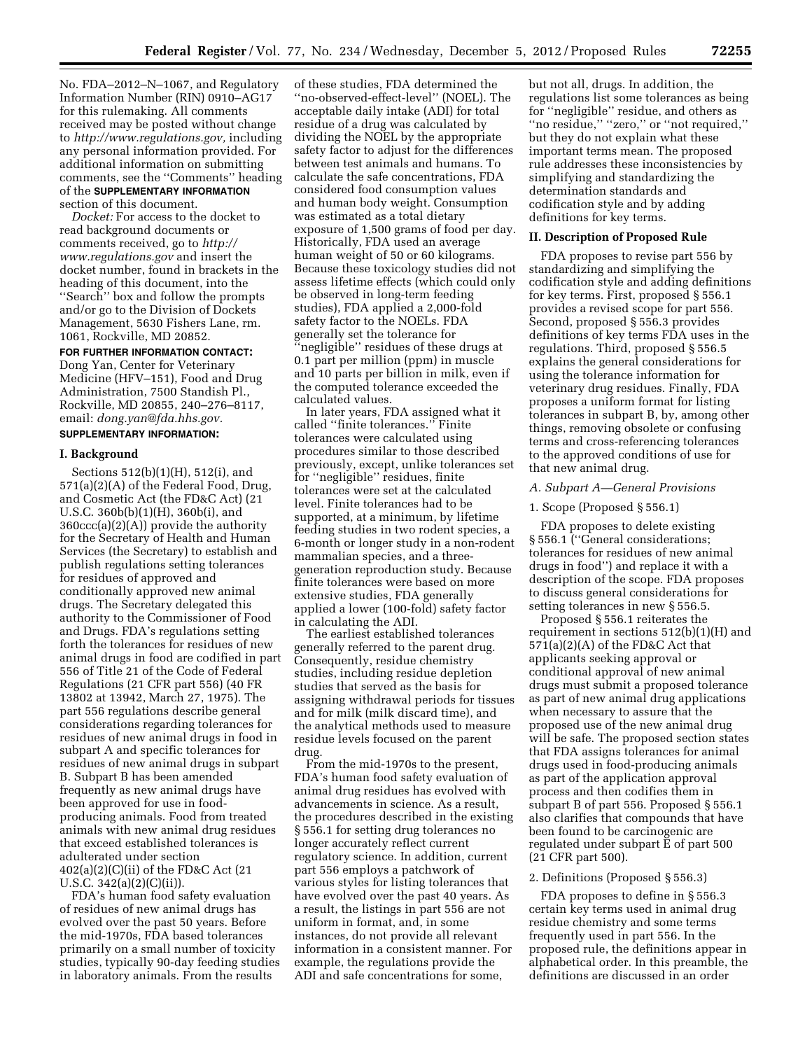No. FDA–2012–N–1067, and Regulatory Information Number (RIN) 0910–AG17 for this rulemaking. All comments received may be posted without change to *[http://www.regulations.gov,](http://www.regulations.gov)* including any personal information provided. For additional information on submitting comments, see the ''Comments'' heading of the **SUPPLEMENTARY INFORMATION** section of this document.

*Docket:* For access to the docket to read background documents or comments received, go to *[http://](http://www.regulations.gov)  [www.regulations.gov](http://www.regulations.gov)* and insert the docket number, found in brackets in the heading of this document, into the ''Search'' box and follow the prompts and/or go to the Division of Dockets Management, 5630 Fishers Lane, rm. 1061, Rockville, MD 20852.

# **FOR FURTHER INFORMATION CONTACT:**

Dong Yan, Center for Veterinary Medicine (HFV–151), Food and Drug Administration, 7500 Standish Pl., Rockville, MD 20855, 240–276–8117, email: *[dong.yan@fda.hhs.gov.](mailto:dong.yan@fda.hhs.gov)* 

#### **SUPPLEMENTARY INFORMATION:**

#### **I. Background**

Sections 512(b)(1)(H), 512(i), and 571(a)(2)(A) of the Federal Food, Drug, and Cosmetic Act (the FD&C Act) (21 U.S.C. 360b(b)(1)(H), 360b(i), and 360ccc(a)(2)(A)) provide the authority for the Secretary of Health and Human Services (the Secretary) to establish and publish regulations setting tolerances for residues of approved and conditionally approved new animal drugs. The Secretary delegated this authority to the Commissioner of Food and Drugs. FDA's regulations setting forth the tolerances for residues of new animal drugs in food are codified in part 556 of Title 21 of the Code of Federal Regulations (21 CFR part 556) (40 FR 13802 at 13942, March 27, 1975). The part 556 regulations describe general considerations regarding tolerances for residues of new animal drugs in food in subpart A and specific tolerances for residues of new animal drugs in subpart B. Subpart B has been amended frequently as new animal drugs have been approved for use in foodproducing animals. Food from treated animals with new animal drug residues that exceed established tolerances is adulterated under section 402(a)(2)(C)(ii) of the FD&C Act (21 U.S.C. 342(a)(2)(C)(ii)).

FDA's human food safety evaluation of residues of new animal drugs has evolved over the past 50 years. Before the mid-1970s, FDA based tolerances primarily on a small number of toxicity studies, typically 90-day feeding studies in laboratory animals. From the results

of these studies, FDA determined the ''no-observed-effect-level'' (NOEL). The acceptable daily intake (ADI) for total residue of a drug was calculated by dividing the NOEL by the appropriate safety factor to adjust for the differences between test animals and humans. To calculate the safe concentrations, FDA considered food consumption values and human body weight. Consumption was estimated as a total dietary exposure of 1,500 grams of food per day. Historically, FDA used an average human weight of 50 or 60 kilograms. Because these toxicology studies did not assess lifetime effects (which could only be observed in long-term feeding studies), FDA applied a 2,000-fold safety factor to the NOELs. FDA generally set the tolerance for 'negligible'' residues of these drugs at 0.1 part per million (ppm) in muscle and 10 parts per billion in milk, even if the computed tolerance exceeded the calculated values.

In later years, FDA assigned what it called ''finite tolerances.'' Finite tolerances were calculated using procedures similar to those described previously, except, unlike tolerances set for ''negligible'' residues, finite tolerances were set at the calculated level. Finite tolerances had to be supported, at a minimum, by lifetime feeding studies in two rodent species, a 6-month or longer study in a non-rodent mammalian species, and a threegeneration reproduction study. Because finite tolerances were based on more extensive studies, FDA generally applied a lower (100-fold) safety factor in calculating the ADI.

The earliest established tolerances generally referred to the parent drug. Consequently, residue chemistry studies, including residue depletion studies that served as the basis for assigning withdrawal periods for tissues and for milk (milk discard time), and the analytical methods used to measure residue levels focused on the parent drug.

From the mid-1970s to the present, FDA's human food safety evaluation of animal drug residues has evolved with advancements in science. As a result, the procedures described in the existing § 556.1 for setting drug tolerances no longer accurately reflect current regulatory science. In addition, current part 556 employs a patchwork of various styles for listing tolerances that have evolved over the past 40 years. As a result, the listings in part 556 are not uniform in format, and, in some instances, do not provide all relevant information in a consistent manner. For example, the regulations provide the ADI and safe concentrations for some,

but not all, drugs. In addition, the regulations list some tolerances as being for ''negligible'' residue, and others as ''no residue,'' ''zero,'' or ''not required,'' but they do not explain what these important terms mean. The proposed rule addresses these inconsistencies by simplifying and standardizing the determination standards and codification style and by adding definitions for key terms.

#### **II. Description of Proposed Rule**

FDA proposes to revise part 556 by standardizing and simplifying the codification style and adding definitions for key terms. First, proposed § 556.1 provides a revised scope for part 556. Second, proposed § 556.3 provides definitions of key terms FDA uses in the regulations. Third, proposed § 556.5 explains the general considerations for using the tolerance information for veterinary drug residues. Finally, FDA proposes a uniform format for listing tolerances in subpart B, by, among other things, removing obsolete or confusing terms and cross-referencing tolerances to the approved conditions of use for that new animal drug.

#### *A. Subpart A—General Provisions*

# 1. Scope (Proposed § 556.1)

FDA proposes to delete existing § 556.1 ("General considerations; tolerances for residues of new animal drugs in food'') and replace it with a description of the scope. FDA proposes to discuss general considerations for setting tolerances in new § 556.5.

Proposed § 556.1 reiterates the requirement in sections 512(b)(1)(H) and 571(a)(2)(A) of the FD&C Act that applicants seeking approval or conditional approval of new animal drugs must submit a proposed tolerance as part of new animal drug applications when necessary to assure that the proposed use of the new animal drug will be safe. The proposed section states that FDA assigns tolerances for animal drugs used in food-producing animals as part of the application approval process and then codifies them in subpart B of part 556. Proposed § 556.1 also clarifies that compounds that have been found to be carcinogenic are regulated under subpart E of part 500 (21 CFR part 500).

# 2. Definitions (Proposed § 556.3)

FDA proposes to define in § 556.3 certain key terms used in animal drug residue chemistry and some terms frequently used in part 556. In the proposed rule, the definitions appear in alphabetical order. In this preamble, the definitions are discussed in an order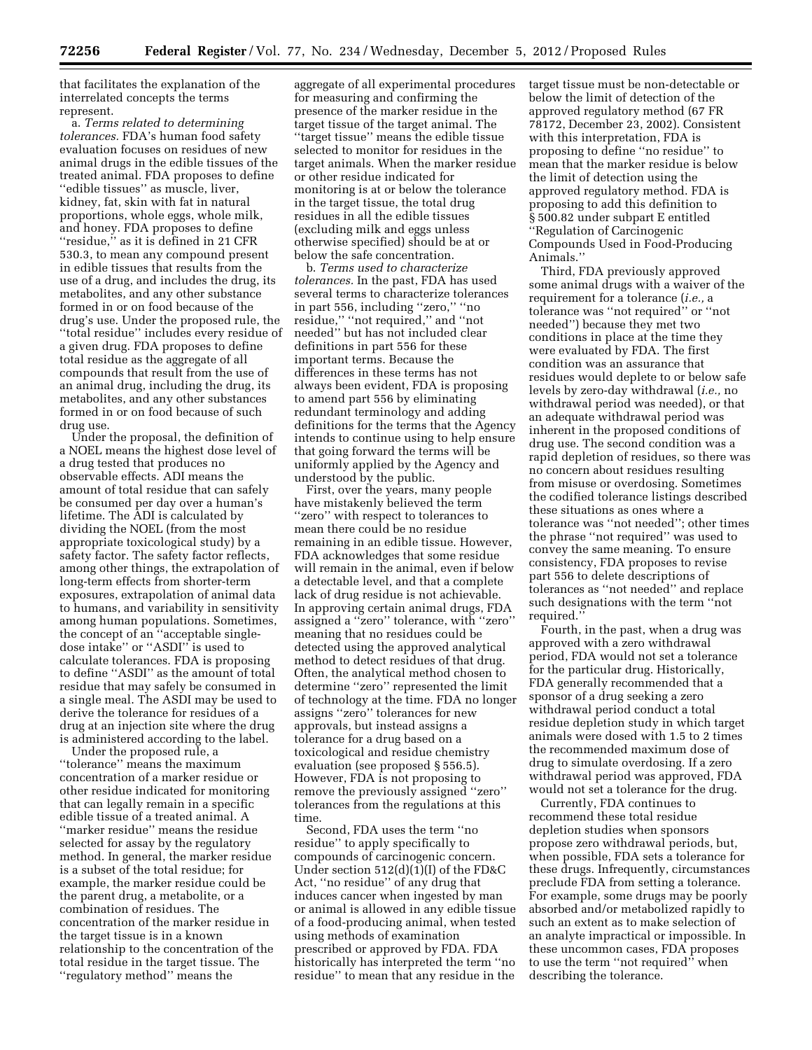that facilitates the explanation of the interrelated concepts the terms represent.

a. *Terms related to determining tolerances.* FDA's human food safety evaluation focuses on residues of new animal drugs in the edible tissues of the treated animal. FDA proposes to define ''edible tissues'' as muscle, liver, kidney, fat, skin with fat in natural proportions, whole eggs, whole milk, and honey. FDA proposes to define ''residue,'' as it is defined in 21 CFR 530.3, to mean any compound present in edible tissues that results from the use of a drug, and includes the drug, its metabolites, and any other substance formed in or on food because of the drug's use. Under the proposed rule, the ''total residue'' includes every residue of a given drug. FDA proposes to define total residue as the aggregate of all compounds that result from the use of an animal drug, including the drug, its metabolites, and any other substances formed in or on food because of such drug use.

Under the proposal, the definition of a NOEL means the highest dose level of a drug tested that produces no observable effects. ADI means the amount of total residue that can safely be consumed per day over a human's lifetime. The ADI is calculated by dividing the NOEL (from the most appropriate toxicological study) by a safety factor. The safety factor reflects, among other things, the extrapolation of long-term effects from shorter-term exposures, extrapolation of animal data to humans, and variability in sensitivity among human populations. Sometimes, the concept of an ''acceptable singledose intake'' or ''ASDI'' is used to calculate tolerances. FDA is proposing to define ''ASDI'' as the amount of total residue that may safely be consumed in a single meal. The ASDI may be used to derive the tolerance for residues of a drug at an injection site where the drug is administered according to the label.

Under the proposed rule, a ''tolerance'' means the maximum concentration of a marker residue or other residue indicated for monitoring that can legally remain in a specific edible tissue of a treated animal. A ''marker residue'' means the residue selected for assay by the regulatory method. In general, the marker residue is a subset of the total residue; for example, the marker residue could be the parent drug, a metabolite, or a combination of residues. The concentration of the marker residue in the target tissue is in a known relationship to the concentration of the total residue in the target tissue. The ''regulatory method'' means the

aggregate of all experimental procedures for measuring and confirming the presence of the marker residue in the target tissue of the target animal. The ''target tissue'' means the edible tissue selected to monitor for residues in the target animals. When the marker residue or other residue indicated for monitoring is at or below the tolerance in the target tissue, the total drug residues in all the edible tissues (excluding milk and eggs unless otherwise specified) should be at or below the safe concentration.

b. *Terms used to characterize tolerances.* In the past, FDA has used several terms to characterize tolerances in part 556, including ''zero,'' ''no residue,'' ''not required,'' and ''not needed'' but has not included clear definitions in part 556 for these important terms. Because the differences in these terms has not always been evident, FDA is proposing to amend part 556 by eliminating redundant terminology and adding definitions for the terms that the Agency intends to continue using to help ensure that going forward the terms will be uniformly applied by the Agency and understood by the public.

First, over the years, many people have mistakenly believed the term "zero" with respect to tolerances to mean there could be no residue remaining in an edible tissue. However, FDA acknowledges that some residue will remain in the animal, even if below a detectable level, and that a complete lack of drug residue is not achievable. In approving certain animal drugs, FDA assigned a ''zero'' tolerance, with ''zero'' meaning that no residues could be detected using the approved analytical method to detect residues of that drug. Often, the analytical method chosen to determine ''zero'' represented the limit of technology at the time. FDA no longer assigns ''zero'' tolerances for new approvals, but instead assigns a tolerance for a drug based on a toxicological and residue chemistry evaluation (see proposed § 556.5). However, FDA is not proposing to remove the previously assigned ''zero'' tolerances from the regulations at this time.

Second, FDA uses the term ''no residue'' to apply specifically to compounds of carcinogenic concern. Under section 512(d)(1)(I) of the FD&C Act, ''no residue'' of any drug that induces cancer when ingested by man or animal is allowed in any edible tissue of a food-producing animal, when tested using methods of examination prescribed or approved by FDA. FDA historically has interpreted the term ''no residue'' to mean that any residue in the

target tissue must be non-detectable or below the limit of detection of the approved regulatory method (67 FR 78172, December 23, 2002). Consistent with this interpretation, FDA is proposing to define ''no residue'' to mean that the marker residue is below the limit of detection using the approved regulatory method. FDA is proposing to add this definition to § 500.82 under subpart E entitled ''Regulation of Carcinogenic Compounds Used in Food-Producing Animals.''

Third, FDA previously approved some animal drugs with a waiver of the requirement for a tolerance (*i.e.,* a tolerance was ''not required'' or ''not needed'') because they met two conditions in place at the time they were evaluated by FDA. The first condition was an assurance that residues would deplete to or below safe levels by zero-day withdrawal (*i.e.,* no withdrawal period was needed), or that an adequate withdrawal period was inherent in the proposed conditions of drug use. The second condition was a rapid depletion of residues, so there was no concern about residues resulting from misuse or overdosing. Sometimes the codified tolerance listings described these situations as ones where a tolerance was ''not needed''; other times the phrase ''not required'' was used to convey the same meaning. To ensure consistency, FDA proposes to revise part 556 to delete descriptions of tolerances as ''not needed'' and replace such designations with the term ''not required.''

Fourth, in the past, when a drug was approved with a zero withdrawal period, FDA would not set a tolerance for the particular drug. Historically, FDA generally recommended that a sponsor of a drug seeking a zero withdrawal period conduct a total residue depletion study in which target animals were dosed with 1.5 to 2 times the recommended maximum dose of drug to simulate overdosing. If a zero withdrawal period was approved, FDA would not set a tolerance for the drug.

Currently, FDA continues to recommend these total residue depletion studies when sponsors propose zero withdrawal periods, but, when possible, FDA sets a tolerance for these drugs. Infrequently, circumstances preclude FDA from setting a tolerance. For example, some drugs may be poorly absorbed and/or metabolized rapidly to such an extent as to make selection of an analyte impractical or impossible. In these uncommon cases, FDA proposes to use the term ''not required'' when describing the tolerance.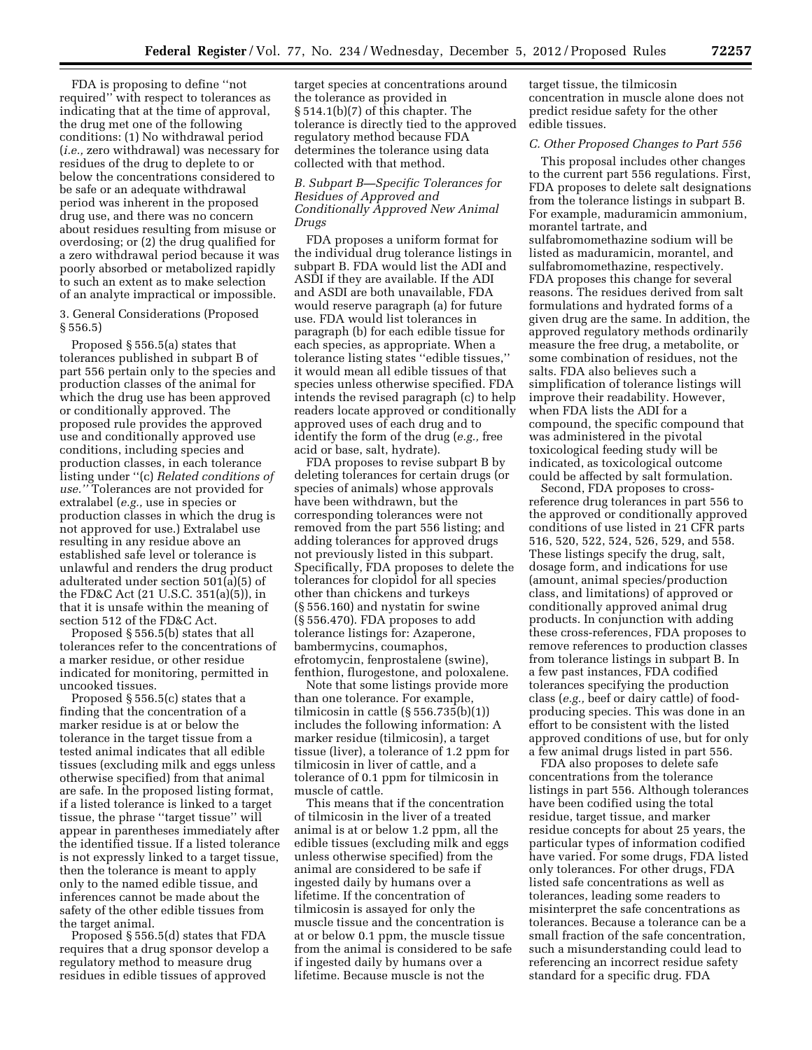FDA is proposing to define ''not required'' with respect to tolerances as indicating that at the time of approval, the drug met one of the following conditions: (1) No withdrawal period (*i.e.,* zero withdrawal) was necessary for residues of the drug to deplete to or below the concentrations considered to be safe or an adequate withdrawal period was inherent in the proposed drug use, and there was no concern about residues resulting from misuse or overdosing; or (2) the drug qualified for a zero withdrawal period because it was poorly absorbed or metabolized rapidly to such an extent as to make selection of an analyte impractical or impossible.

3. General Considerations (Proposed § 556.5)

Proposed § 556.5(a) states that tolerances published in subpart B of part 556 pertain only to the species and production classes of the animal for which the drug use has been approved or conditionally approved. The proposed rule provides the approved use and conditionally approved use conditions, including species and production classes, in each tolerance listing under ''(c) *Related conditions of use.''* Tolerances are not provided for extralabel (*e.g.,* use in species or production classes in which the drug is not approved for use.) Extralabel use resulting in any residue above an established safe level or tolerance is unlawful and renders the drug product adulterated under section 501(a)(5) of the FD&C Act (21 U.S.C. 351(a)(5)), in that it is unsafe within the meaning of section 512 of the FD&C Act.

Proposed § 556.5(b) states that all tolerances refer to the concentrations of a marker residue, or other residue indicated for monitoring, permitted in uncooked tissues.

Proposed § 556.5(c) states that a finding that the concentration of a marker residue is at or below the tolerance in the target tissue from a tested animal indicates that all edible tissues (excluding milk and eggs unless otherwise specified) from that animal are safe. In the proposed listing format, if a listed tolerance is linked to a target tissue, the phrase ''target tissue'' will appear in parentheses immediately after the identified tissue. If a listed tolerance is not expressly linked to a target tissue, then the tolerance is meant to apply only to the named edible tissue, and inferences cannot be made about the safety of the other edible tissues from the target animal.

Proposed § 556.5(d) states that FDA requires that a drug sponsor develop a regulatory method to measure drug residues in edible tissues of approved

target species at concentrations around the tolerance as provided in § 514.1(b)(7) of this chapter. The tolerance is directly tied to the approved regulatory method because FDA determines the tolerance using data collected with that method.

# *B. Subpart B—Specific Tolerances for Residues of Approved and Conditionally Approved New Animal Drugs*

FDA proposes a uniform format for the individual drug tolerance listings in subpart B. FDA would list the ADI and ASDI if they are available. If the ADI and ASDI are both unavailable, FDA would reserve paragraph (a) for future use. FDA would list tolerances in paragraph (b) for each edible tissue for each species, as appropriate. When a tolerance listing states ''edible tissues,'' it would mean all edible tissues of that species unless otherwise specified. FDA intends the revised paragraph (c) to help readers locate approved or conditionally approved uses of each drug and to identify the form of the drug (*e.g.,* free acid or base, salt, hydrate).

FDA proposes to revise subpart B by deleting tolerances for certain drugs (or species of animals) whose approvals have been withdrawn, but the corresponding tolerances were not removed from the part 556 listing; and adding tolerances for approved drugs not previously listed in this subpart. Specifically, FDA proposes to delete the tolerances for clopidol for all species other than chickens and turkeys (§ 556.160) and nystatin for swine (§ 556.470). FDA proposes to add tolerance listings for: Azaperone, bambermycins, coumaphos, efrotomycin, fenprostalene (swine), fenthion, flurogestone, and poloxalene.

Note that some listings provide more than one tolerance. For example, tilmicosin in cattle  $(\S 556.735(b)(1))$ includes the following information: A marker residue (tilmicosin), a target tissue (liver), a tolerance of 1.2 ppm for tilmicosin in liver of cattle, and a tolerance of 0.1 ppm for tilmicosin in muscle of cattle.

This means that if the concentration of tilmicosin in the liver of a treated animal is at or below 1.2 ppm, all the edible tissues (excluding milk and eggs unless otherwise specified) from the animal are considered to be safe if ingested daily by humans over a lifetime. If the concentration of tilmicosin is assayed for only the muscle tissue and the concentration is at or below 0.1 ppm, the muscle tissue from the animal is considered to be safe if ingested daily by humans over a lifetime. Because muscle is not the

target tissue, the tilmicosin concentration in muscle alone does not predict residue safety for the other edible tissues.

# *C. Other Proposed Changes to Part 556*

This proposal includes other changes to the current part 556 regulations. First, FDA proposes to delete salt designations from the tolerance listings in subpart B. For example, maduramicin ammonium, morantel tartrate, and sulfabromomethazine sodium will be listed as maduramicin, morantel, and sulfabromomethazine, respectively. FDA proposes this change for several reasons. The residues derived from salt formulations and hydrated forms of a given drug are the same. In addition, the approved regulatory methods ordinarily measure the free drug, a metabolite, or some combination of residues, not the salts. FDA also believes such a simplification of tolerance listings will improve their readability. However, when FDA lists the ADI for a compound, the specific compound that was administered in the pivotal toxicological feeding study will be indicated, as toxicological outcome could be affected by salt formulation.

Second, FDA proposes to crossreference drug tolerances in part 556 to the approved or conditionally approved conditions of use listed in 21 CFR parts 516, 520, 522, 524, 526, 529, and 558. These listings specify the drug, salt, dosage form, and indications for use (amount, animal species/production class, and limitations) of approved or conditionally approved animal drug products. In conjunction with adding these cross-references, FDA proposes to remove references to production classes from tolerance listings in subpart B. In a few past instances, FDA codified tolerances specifying the production class (*e.g.,* beef or dairy cattle) of foodproducing species. This was done in an effort to be consistent with the listed approved conditions of use, but for only a few animal drugs listed in part 556.

FDA also proposes to delete safe concentrations from the tolerance listings in part 556. Although tolerances have been codified using the total residue, target tissue, and marker residue concepts for about 25 years, the particular types of information codified have varied. For some drugs, FDA listed only tolerances. For other drugs, FDA listed safe concentrations as well as tolerances, leading some readers to misinterpret the safe concentrations as tolerances. Because a tolerance can be a small fraction of the safe concentration, such a misunderstanding could lead to referencing an incorrect residue safety standard for a specific drug. FDA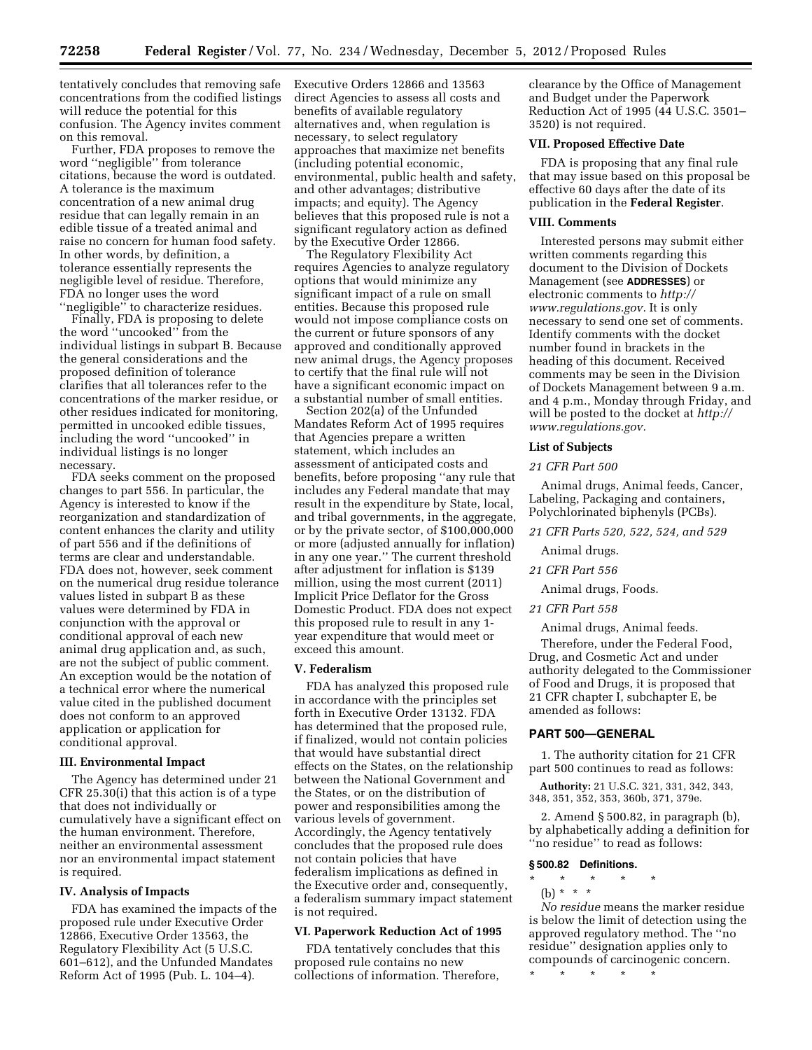tentatively concludes that removing safe concentrations from the codified listings will reduce the potential for this confusion. The Agency invites comment on this removal.

Further, FDA proposes to remove the word ''negligible'' from tolerance citations, because the word is outdated. A tolerance is the maximum concentration of a new animal drug residue that can legally remain in an edible tissue of a treated animal and raise no concern for human food safety. In other words, by definition, a tolerance essentially represents the negligible level of residue. Therefore, FDA no longer uses the word

''negligible'' to characterize residues. Finally, FDA is proposing to delete the word ''uncooked'' from the individual listings in subpart B. Because the general considerations and the proposed definition of tolerance clarifies that all tolerances refer to the concentrations of the marker residue, or other residues indicated for monitoring, permitted in uncooked edible tissues, including the word ''uncooked'' in individual listings is no longer necessary.

FDA seeks comment on the proposed changes to part 556. In particular, the Agency is interested to know if the reorganization and standardization of content enhances the clarity and utility of part 556 and if the definitions of terms are clear and understandable. FDA does not, however, seek comment on the numerical drug residue tolerance values listed in subpart B as these values were determined by FDA in conjunction with the approval or conditional approval of each new animal drug application and, as such, are not the subject of public comment. An exception would be the notation of a technical error where the numerical value cited in the published document does not conform to an approved application or application for conditional approval.

#### **III. Environmental Impact**

The Agency has determined under 21 CFR 25.30(i) that this action is of a type that does not individually or cumulatively have a significant effect on the human environment. Therefore, neither an environmental assessment nor an environmental impact statement is required.

# **IV. Analysis of Impacts**

FDA has examined the impacts of the proposed rule under Executive Order 12866, Executive Order 13563, the Regulatory Flexibility Act (5 U.S.C. 601–612), and the Unfunded Mandates Reform Act of 1995 (Pub. L. 104–4).

Executive Orders 12866 and 13563 direct Agencies to assess all costs and benefits of available regulatory alternatives and, when regulation is necessary, to select regulatory approaches that maximize net benefits (including potential economic, environmental, public health and safety, and other advantages; distributive impacts; and equity). The Agency believes that this proposed rule is not a significant regulatory action as defined by the Executive Order 12866.

The Regulatory Flexibility Act requires Agencies to analyze regulatory options that would minimize any significant impact of a rule on small entities. Because this proposed rule would not impose compliance costs on the current or future sponsors of any approved and conditionally approved new animal drugs, the Agency proposes to certify that the final rule will not have a significant economic impact on a substantial number of small entities.

Section 202(a) of the Unfunded Mandates Reform Act of 1995 requires that Agencies prepare a written statement, which includes an assessment of anticipated costs and benefits, before proposing ''any rule that includes any Federal mandate that may result in the expenditure by State, local, and tribal governments, in the aggregate, or by the private sector, of \$100,000,000 or more (adjusted annually for inflation) in any one year.'' The current threshold after adjustment for inflation is \$139 million, using the most current (2011) Implicit Price Deflator for the Gross Domestic Product. FDA does not expect this proposed rule to result in any 1 year expenditure that would meet or exceed this amount.

# **V. Federalism**

FDA has analyzed this proposed rule in accordance with the principles set forth in Executive Order 13132. FDA has determined that the proposed rule, if finalized, would not contain policies that would have substantial direct effects on the States, on the relationship between the National Government and the States, or on the distribution of power and responsibilities among the various levels of government. Accordingly, the Agency tentatively concludes that the proposed rule does not contain policies that have federalism implications as defined in the Executive order and, consequently, a federalism summary impact statement is not required.

#### **VI. Paperwork Reduction Act of 1995**

FDA tentatively concludes that this proposed rule contains no new collections of information. Therefore,

clearance by the Office of Management and Budget under the Paperwork Reduction Act of 1995 (44 U.S.C. 3501– 3520) is not required.

#### **VII. Proposed Effective Date**

FDA is proposing that any final rule that may issue based on this proposal be effective 60 days after the date of its publication in the **Federal Register**.

#### **VIII. Comments**

Interested persons may submit either written comments regarding this document to the Division of Dockets Management (see **ADDRESSES**) or electronic comments to *[http://](http://www.regulations.gov) [www.regulations.gov.](http://www.regulations.gov)* It is only necessary to send one set of comments. Identify comments with the docket number found in brackets in the heading of this document. Received comments may be seen in the Division of Dockets Management between 9 a.m. and 4 p.m., Monday through Friday, and will be posted to the docket at *[http://](http://www.regulations.gov) [www.regulations.gov.](http://www.regulations.gov)* 

#### **List of Subjects**

#### *21 CFR Part 500*

Animal drugs, Animal feeds, Cancer, Labeling, Packaging and containers, Polychlorinated biphenyls (PCBs).

*21 CFR Parts 520, 522, 524, and 529* 

Animal drugs.

*21 CFR Part 556* 

Animal drugs, Foods.

*21 CFR Part 558* 

Animal drugs, Animal feeds.

Therefore, under the Federal Food, Drug, and Cosmetic Act and under authority delegated to the Commissioner of Food and Drugs, it is proposed that 21 CFR chapter I, subchapter E, be amended as follows:

#### **PART 500—GENERAL**

1. The authority citation for 21 CFR part 500 continues to read as follows:

**Authority:** 21 U.S.C. 321, 331, 342, 343, 348, 351, 352, 353, 360b, 371, 379e.

2. Amend § 500.82, in paragraph (b), by alphabetically adding a definition for ''no residue'' to read as follows:

#### **§ 500.82 Definitions.**

- \* \* \* \* \*
	- (b) \* \* \*

*No residue* means the marker residue is below the limit of detection using the approved regulatory method. The ''no residue'' designation applies only to compounds of carcinogenic concern.

\* \* \* \* \*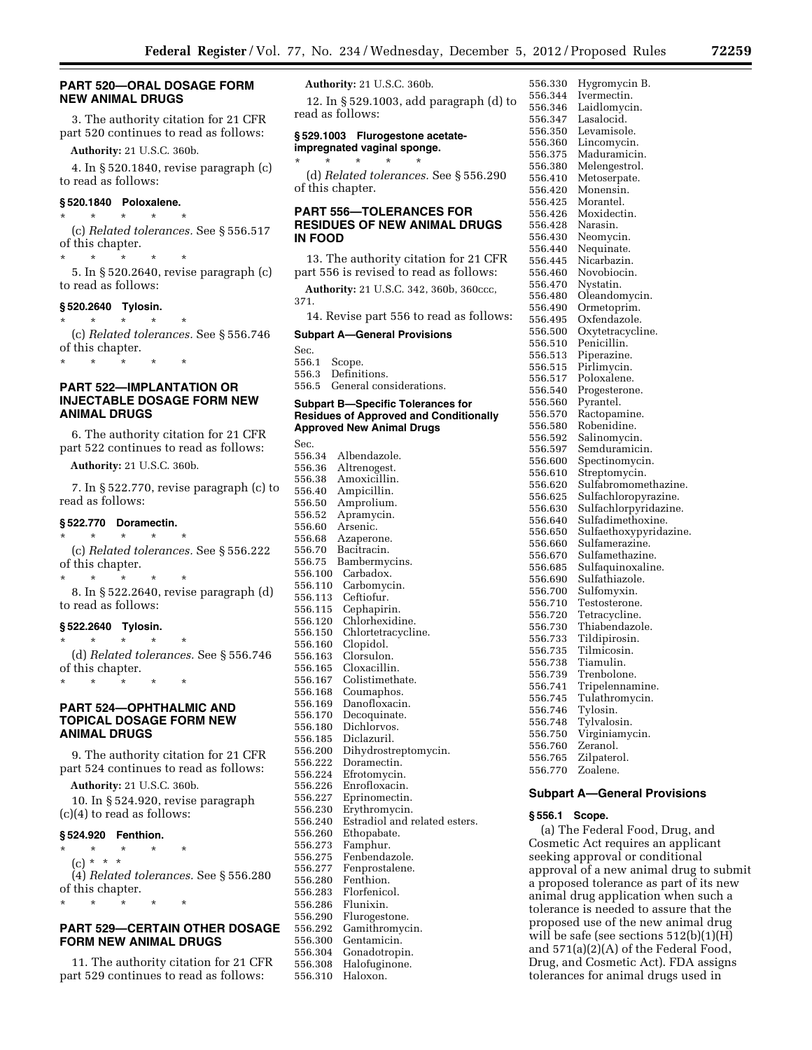# **PART 520—ORAL DOSAGE FORM NEW ANIMAL DRUGS**

3. The authority citation for 21 CFR part 520 continues to read as follows:

**Authority:** 21 U.S.C. 360b.

4. In § 520.1840, revise paragraph (c) to read as follows:

# **§ 520.1840 Poloxalene.**

\* \* \* \* \* (c) *Related tolerances.* See § 556.517 of this chapter.

\* \* \* \* \* 5. In § 520.2640, revise paragraph (c) to read as follows:

## **§ 520.2640 Tylosin.**

\* \* \* \* \* (c) *Related tolerances.* See § 556.746 of this chapter.

\* \* \* \* \*

# **PART 522—IMPLANTATION OR INJECTABLE DOSAGE FORM NEW ANIMAL DRUGS**

6. The authority citation for 21 CFR part 522 continues to read as follows:

**Authority:** 21 U.S.C. 360b.

7. In § 522.770, revise paragraph (c) to read as follows:

# **§ 522.770 Doramectin.**

\* \* \* \* \* (c) *Related tolerances.* See § 556.222 of this chapter.

\* \* \* \* \*

8. In § 522.2640, revise paragraph (d) to read as follows:

# **§ 522.2640 Tylosin.**

\* \* \* \* \* (d) *Related tolerances.* See § 556.746 of this chapter.

\* \* \* \* \*

# **PART 524—OPHTHALMIC AND TOPICAL DOSAGE FORM NEW ANIMAL DRUGS**

9. The authority citation for 21 CFR part 524 continues to read as follows:

**Authority:** 21 U.S.C. 360b.

10. In § 524.920, revise paragraph (c)(4) to read as follows:

#### **§ 524.920 Fenthion.**

\* \* \* \* \*  $(c) * * * *$ (4) *Related tolerances.* See § 556.280 of this chapter. \* \* \* \* \*

# **PART 529—CERTAIN OTHER DOSAGE FORM NEW ANIMAL DRUGS**

11. The authority citation for 21 CFR part 529 continues to read as follows:

**Authority:** 21 U.S.C. 360b.

12. In § 529.1003, add paragraph (d) to read as follows:

#### **§ 529.1003 Flurogestone acetateimpregnated vaginal sponge.**

\* \* \* \* \* (d) *Related tolerances.* See § 556.290 of this chapter.

# **PART 556—TOLERANCES FOR RESIDUES OF NEW ANIMAL DRUGS IN FOOD**

13. The authority citation for 21 CFR part 556 is revised to read as follows:

**Authority:** 21 U.S.C. 342, 360b, 360ccc,

371. 14. Revise part 556 to read as follows:

# **Subpart A—General Provisions**

Sec.

556.1 Scope.

556.3 Definitions. 556.5 General considerations.

# **Subpart B—Specific Tolerances for Residues of Approved and Conditionally Approved New Animal Drugs**

Sec. 556.34 Albendazole. 556.36 Altrenogest. Amoxicillin. 556.40 Ampicillin. 556.50 Amprolium. Apramycin. 556.60 Arsenic. Azaperone. 556.70 Bacitracin. 556.75 Bambermycins. 556.100 Carbadox.<br>556.110 Carbomyc 556.110 Carbomycin. Ceftiofur. 556.115 Cephapirin. 556.120 Chlorhexidine. 556.150 Chlortetracycline.<br>556.160 Clopidol. Clopidol. 556.163 Clorsulon. 556.165 Cloxacillin. 556.167 Colistimethate.<br>556.168 Coumaphos. Coumaphos. 556.169 Danofloxacin. 556.170 Decoquinate. Dichlorvos. 556.185 Diclazuril. 556.200 Dihydrostreptomycin. 556.222 Doramectin. Efrotomycin. 556.226 Enrofloxacin. 556.227 Eprinomectin. 556.230 Erythromycin. 556.240 Estradiol and related esters. 556.260 Ethopabate.<br>556.273 Eamphur 556.273 Famphur. 556.275 Fenbendazole. Fenprostalene. 556.280 Fenthion. 556.283 Florfenicol. 556.286 Flunixin. Flurogestone. 556.292 Gamithromycin. 556.300 Gentamicin. 556.304 Gonadotropin. Halofuginone. 556.310 Haloxon.

556.330 Hygromycin B. 556.344 Ivermectin. 556.346 Laidlomycin. 556.347 Lasalocid.<br>556.350 Levamisol Levamisole. 556.360 Lincomycin. Maduramicin. 556.380 Melengestrol. 556.410 Metoserpate. 556.420 Monensin.<br>556.425 Morantel 556.425 Morantel. Moxidectin. 556.428 Narasin. 556.430 Neomycin. 556.440 Nequinate. 556.445 Nicarbazin. 556.460 Novobiocin. 556.470 Nystatin.<br>556.480 Oleandor Oleandomycin. 556.490 Ormetoprim. 556.495 Oxfendazole. 556.500 Oxytetracycline. Penicillin. 556.513 Piperazine. 556.515 Pirlimycin. 556.517 Poloxalene. Progesterone. 556.560 Pyrantel.<br>556.570 Ractonan 556.570 Ractopamine. 556.580 Robenidine. 556.592 Salinomycin. 556.597 Semduramicin.<br>556.600 Spectinomycin. 556.600 Spectinomycin. Streptomycin. 556.620 Sulfabromomethazine. 556.625 Sulfachloropyrazine. Sulfachlorpyridazine. 556.640 Sulfadimethoxine. 556.650 Sulfaethoxypyridazine. 556.660 Sulfamerazine. 556.670 Sulfamethazine. Sulfaquinoxaline. 556.690 Sulfathiazole. 556.700 Sulfomyxin.<br>556.710 Testosterone Testosterone. 556.720 Tetracycline. Thiabendazole. 556.733 Tildipirosin. 556.735 Tilmicosin. Tiamulin. 556.739 Trenbolone. Tripelennamine. 556.745 Tulathromycin. 556.746 Tylosin. 556.748 Tylvalosin. Virginiamycin. 556.760 Zeranol. 556.765 Zilpaterol. 556.770 Zoalene.

#### **Subpart A—General Provisions**

#### **§ 556.1 Scope.**

(a) The Federal Food, Drug, and Cosmetic Act requires an applicant seeking approval or conditional approval of a new animal drug to submit a proposed tolerance as part of its new animal drug application when such a tolerance is needed to assure that the proposed use of the new animal drug will be safe (see sections 512(b)(1)(H) and 571(a)(2)(A) of the Federal Food, Drug, and Cosmetic Act). FDA assigns tolerances for animal drugs used in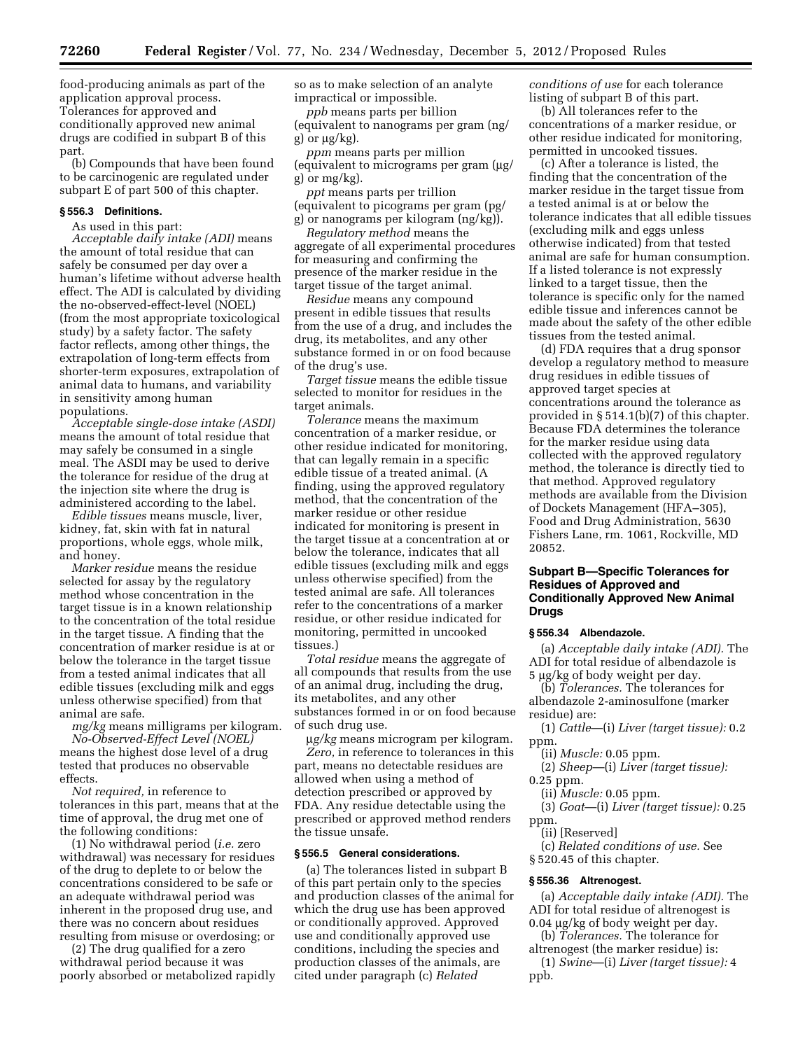food-producing animals as part of the application approval process. Tolerances for approved and conditionally approved new animal drugs are codified in subpart B of this part.

(b) Compounds that have been found to be carcinogenic are regulated under subpart E of part 500 of this chapter.

#### **§ 556.3 Definitions.**

As used in this part:

*Acceptable daily intake (ADI)* means the amount of total residue that can safely be consumed per day over a human's lifetime without adverse health effect. The ADI is calculated by dividing the no-observed-effect-level (NOEL) (from the most appropriate toxicological study) by a safety factor. The safety factor reflects, among other things, the extrapolation of long-term effects from shorter-term exposures, extrapolation of animal data to humans, and variability in sensitivity among human populations.

*Acceptable single-dose intake (ASDI)*  means the amount of total residue that may safely be consumed in a single meal. The ASDI may be used to derive the tolerance for residue of the drug at the injection site where the drug is administered according to the label.

*Edible tissues* means muscle, liver, kidney, fat, skin with fat in natural proportions, whole eggs, whole milk, and honey.

*Marker residue* means the residue selected for assay by the regulatory method whose concentration in the target tissue is in a known relationship to the concentration of the total residue in the target tissue. A finding that the concentration of marker residue is at or below the tolerance in the target tissue from a tested animal indicates that all edible tissues (excluding milk and eggs unless otherwise specified) from that animal are safe.

*mg/kg* means milligrams per kilogram. *No-Observed-Effect Level (NOEL)* 

means the highest dose level of a drug tested that produces no observable effects.

*Not required,* in reference to tolerances in this part, means that at the time of approval, the drug met one of the following conditions:

(1) No withdrawal period (*i.e.* zero withdrawal) was necessary for residues of the drug to deplete to or below the concentrations considered to be safe or an adequate withdrawal period was inherent in the proposed drug use, and there was no concern about residues resulting from misuse or overdosing; or

(2) The drug qualified for a zero withdrawal period because it was poorly absorbed or metabolized rapidly so as to make selection of an analyte impractical or impossible.

*ppb* means parts per billion (equivalent to nanograms per gram (ng/ g) or  $\mu$ g/kg).

*ppm* means parts per million (equivalent to micrograms per gram  $\mu$ g/ g) or mg/kg).

*ppt* means parts per trillion (equivalent to picograms per gram (pg/ g) or nanograms per kilogram (ng/kg)).

*Regulatory method* means the aggregate of all experimental procedures for measuring and confirming the presence of the marker residue in the target tissue of the target animal.

*Residue* means any compound present in edible tissues that results from the use of a drug, and includes the drug, its metabolites, and any other substance formed in or on food because of the drug's use.

*Target tissue* means the edible tissue selected to monitor for residues in the target animals.

*Tolerance* means the maximum concentration of a marker residue, or other residue indicated for monitoring, that can legally remain in a specific edible tissue of a treated animal. (A finding, using the approved regulatory method, that the concentration of the marker residue or other residue indicated for monitoring is present in the target tissue at a concentration at or below the tolerance, indicates that all edible tissues (excluding milk and eggs unless otherwise specified) from the tested animal are safe. All tolerances refer to the concentrations of a marker residue, or other residue indicated for monitoring, permitted in uncooked tissues.)

*Total residue* means the aggregate of all compounds that results from the use of an animal drug, including the drug, its metabolites, and any other substances formed in or on food because of such drug use.

m*g/kg* means microgram per kilogram. *Zero,* in reference to tolerances in this part, means no detectable residues are allowed when using a method of detection prescribed or approved by FDA. Any residue detectable using the prescribed or approved method renders the tissue unsafe.

#### **§ 556.5 General considerations.**

(a) The tolerances listed in subpart B of this part pertain only to the species and production classes of the animal for which the drug use has been approved or conditionally approved. Approved use and conditionally approved use conditions, including the species and production classes of the animals, are cited under paragraph (c) *Related* 

*conditions of use* for each tolerance listing of subpart B of this part.

(b) All tolerances refer to the concentrations of a marker residue, or other residue indicated for monitoring, permitted in uncooked tissues.

(c) After a tolerance is listed, the finding that the concentration of the marker residue in the target tissue from a tested animal is at or below the tolerance indicates that all edible tissues (excluding milk and eggs unless otherwise indicated) from that tested animal are safe for human consumption. If a listed tolerance is not expressly linked to a target tissue, then the tolerance is specific only for the named edible tissue and inferences cannot be made about the safety of the other edible tissues from the tested animal.

(d) FDA requires that a drug sponsor develop a regulatory method to measure drug residues in edible tissues of approved target species at concentrations around the tolerance as provided in § 514.1(b)(7) of this chapter. Because FDA determines the tolerance for the marker residue using data collected with the approved regulatory method, the tolerance is directly tied to that method. Approved regulatory methods are available from the Division of Dockets Management (HFA–305), Food and Drug Administration, 5630 Fishers Lane, rm. 1061, Rockville, MD 20852.

# **Subpart B—Specific Tolerances for Residues of Approved and Conditionally Approved New Animal Drugs**

# **§ 556.34 Albendazole.**

(a) *Acceptable daily intake (ADI).* The ADI for total residue of albendazole is 5 µg/kg of body weight per day.

(b) *Tolerances.* The tolerances for albendazole 2-aminosulfone (marker residue) are:

(1) *Cattle*—(i) *Liver (target tissue):* 0.2 ppm.

(ii) *Muscle:* 0.05 ppm.

- (2) *Sheep*—(i) *Liver (target tissue):*  0.25 ppm.
	- (ii) *Muscle:* 0.05 ppm.

(3) *Goat*—(i) *Liver (target tissue):* 0.25 ppm.

(ii) [Reserved]

(c) *Related conditions of use.* See § 520.45 of this chapter.

#### **§ 556.36 Altrenogest.**

(a) *Acceptable daily intake (ADI).* The ADI for total residue of altrenogest is  $0.04 \mu$ g/kg of body weight per day.

- (b) *Tolerances.* The tolerance for
- altrenogest (the marker residue) is: (1) *Swine*—(i) *Liver (target tissue):* 4

ppb.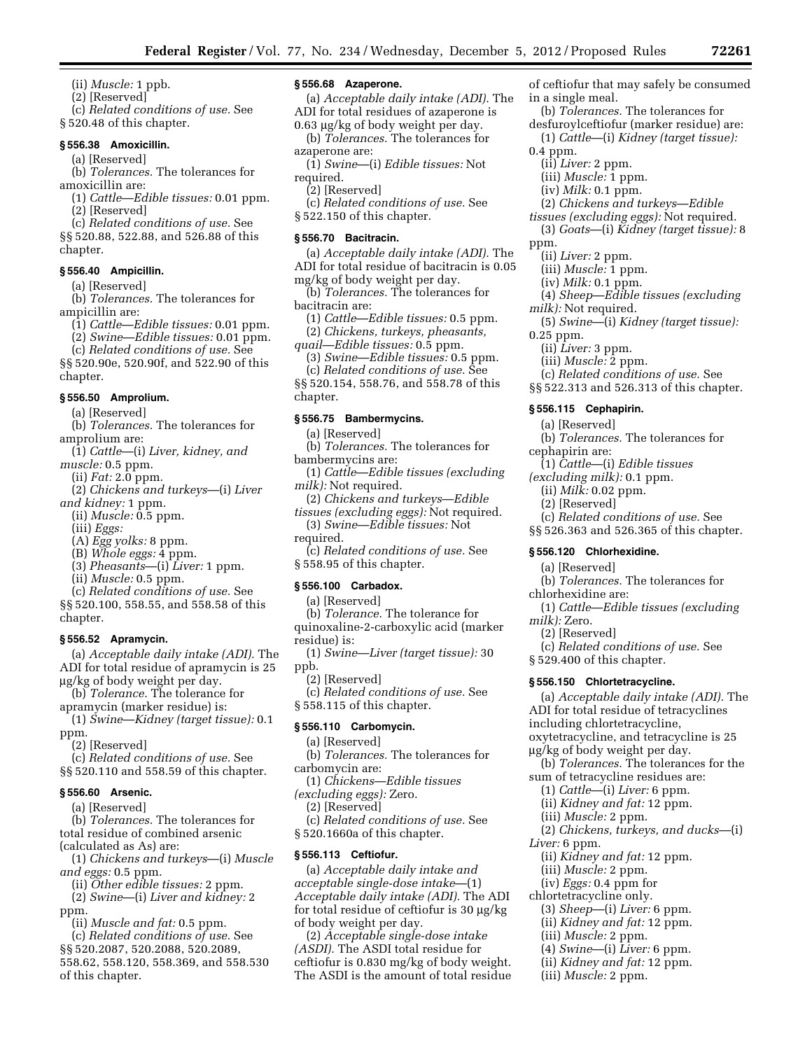(ii) *Muscle:* 1 ppb.

(2) [Reserved]

(c) *Related conditions of use.* See § 520.48 of this chapter.

## **§ 556.38 Amoxicillin.**

(a) [Reserved]

(b) *Tolerances.* The tolerances for amoxicillin are:

(1) *Cattle*—*Edible tissues:* 0.01 ppm. (2) [Reserved]

(c) *Related conditions of use.* See §§ 520.88, 522.88, and 526.88 of this chapter.

#### **§ 556.40 Ampicillin.**

(a) [Reserved]

(b) *Tolerances.* The tolerances for ampicillin are:

(1) *Cattle*—*Edible tissues:* 0.01 ppm.

(2) *Swine*—*Edible tissues:* 0.01 ppm.

(c) *Related conditions of use.* See §§ 520.90e, 520.90f, and 522.90 of this chapter.

# **§ 556.50 Amprolium.**

(a) [Reserved]

(b) *Tolerances.* The tolerances for amprolium are:

- (1) *Cattle*—(i) *Liver, kidney, and muscle:* 0.5 ppm.
- (ii) *Fat:* 2.0 ppm.
- (2) *Chickens and turkeys*—(i) *Liver and kidney:* 1 ppm.

(ii) *Muscle:* 0.5 ppm.

(iii) *Eggs:* 

(A) *Egg yolks:* 8 ppm.

- (B) *Whole eggs:* 4 ppm.
- (3) *Pheasants*—(i) *Liver:* 1 ppm.
- (ii) *Muscle:* 0.5 ppm.

(c) *Related conditions of use.* See §§ 520.100, 558.55, and 558.58 of this chapter.

#### **§ 556.52 Apramycin.**

(a) *Acceptable daily intake (ADI).* The ADI for total residue of apramycin is 25 mg/kg of body weight per day.

(b) *Tolerance.* The tolerance for apramycin (marker residue) is:

(1) *Swine*—*Kidney (target tissue):* 0.1 ppm.

(2) [Reserved]

(c) *Related conditions of use.* See §§ 520.110 and 558.59 of this chapter.

# **§ 556.60 Arsenic.**

(a) [Reserved]

(b) *Tolerances.* The tolerances for

total residue of combined arsenic

(calculated as As) are:

(1) *Chickens and turkeys*—(i) *Muscle and eggs:* 0.5 ppm.

- (ii) *Other edible tissues:* 2 ppm.
- (2) *Swine*—(i) *Liver and kidney:* 2 ppm.

(ii) *Muscle and fat:* 0.5 ppm.

(c) *Related conditions of use.* See §§ 520.2087, 520.2088, 520.2089, 558.62, 558.120, 558.369, and 558.530 of this chapter.

# **§ 556.68 Azaperone.**

(a) *Acceptable daily intake (ADI).* The

ADI for total residues of azaperone is  $0.63 \mu$ g/kg of body weight per day. (b) *Tolerances.* The tolerances for

- azaperone are: (1) *Swine*—(i) *Edible tissues:* Not
- required.
- (2) [Reserved]

(c) *Related conditions of use.* See § 522.150 of this chapter.

# **§ 556.70 Bacitracin.**

(a) *Acceptable daily intake (ADI).* The ADI for total residue of bacitracin is 0.05

mg/kg of body weight per day. (b) *Tolerances.* The tolerances for

bacitracin are:

(1) *Cattle*—*Edible tissues:* 0.5 ppm. (2) *Chickens, turkeys, pheasants,* 

*quail*—*Edible tissues:* 0.5 ppm.

(3) *Swine*—*Edible tissues:* 0.5 ppm. (c) *Related conditions of use.* See

§§ 520.154, 558.76, and 558.78 of this chapter.

#### **§ 556.75 Bambermycins.**

(a) [Reserved]

(b) *Tolerances.* The tolerances for bambermycins are:

- (1) *Cattle*—*Edible tissues (excluding milk):* Not required.
- (2) *Chickens and turkeys*—*Edible*

*tissues (excluding eggs):* Not required. (3) *Swine*—*Edible tissues:* Not

- required.
- (c) *Related conditions of use.* See
- § 558.95 of this chapter.

## **§ 556.100 Carbadox.**

(a) [Reserved]

(b) *Tolerance.* The tolerance for

quinoxaline-2-carboxylic acid (marker residue) is:

(1) *Swine*—*Liver (target tissue):* 30 ppb. (2) [Reserved]

(c) *Related conditions of use.* See § 558.115 of this chapter.

## **§ 556.110 Carbomycin.**

(a) [Reserved]

(b) *Tolerances.* The tolerances for carbomycin are:

(1) *Chickens*—*Edible tissues* 

*(excluding eggs):* Zero.

(2) [Reserved]

(c) *Related conditions of use.* See § 520.1660a of this chapter.

#### **§ 556.113 Ceftiofur.**

(a) *Acceptable daily intake and acceptable single-dose intake*—(1) *Acceptable daily intake (ADI).* The ADI for total residue of ceftiofur is  $30 \mu g/kg$ of body weight per day.

(2) *Acceptable single-dose intake (ASDI).* The ASDI total residue for ceftiofur is 0.830 mg/kg of body weight. The ASDI is the amount of total residue

of ceftiofur that may safely be consumed in a single meal.

- (b) *Tolerances.* The tolerances for desfuroylceftiofur (marker residue) are:
- (1) *Cattle*—(i) *Kidney (target tissue):*
- 0.4 ppm.
	- (ii) *Liver:* 2 ppm.
	- (iii) *Muscle:* 1 ppm.
	- (iv) *Milk:* 0.1 ppm.
- (2) *Chickens and turkeys*—*Edible*
- *tissues (excluding eggs):* Not required. (3) *Goats*—(i) *Kidney (target tissue):* 8
- ppm.
	- (ii) *Liver:* 2 ppm.

0.25 ppm.

- (iii) *Muscle:* 1 ppm.
- (iv) *Milk:* 0.1 ppm.

(ii) *Liver:* 3 ppm. (iii) *Muscle:* 2 ppm.

**§ 556.115 Cephapirin.**  (a) [Reserved]

**§ 556.120 Chlorhexidine.**  (a) [Reserved]

§ 529.400 of this chapter. **§ 556.150 Chlortetracycline.** 

including chlortetracycline,

mg/kg of body weight per day.

sum of tetracycline residues are: (1) *Cattle*—(i) *Liver:* 6 ppm. (ii) *Kidney and fat:* 12 ppm. (iii) *Muscle:* 2 ppm.

(ii) *Kidney and fat:* 12 ppm. (iii) *Muscle:* 2 ppm. (iv) *Eggs:* 0.4 ppm for chlortetracycline only.

(3) *Sheep*—(i) *Liver:* 6 ppm. (ii) *Kidney and fat:* 12 ppm. (iii) *Muscle:* 2 ppm. (4) *Swine*—(i) *Liver:* 6 ppm. (ii) *Kidney and fat:* 12 ppm. (iii) *Muscle:* 2 ppm.

chlorhexidine are:

*milk):* Zero. (2) [Reserved]

*Liver:* 6 ppm.

cephapirin are:

- (4) *Sheep*—*Edible tissues (excluding milk):* Not required.
- (5) *Swine*—(i) *Kidney (target tissue):*

(c) *Related conditions of use.* See §§ 522.313 and 526.313 of this chapter.

(b) *Tolerances.* The tolerances for

(c) *Related conditions of use.* See §§ 526.363 and 526.365 of this chapter.

(b) *Tolerances.* The tolerances for

(c) *Related conditions of use.* See

oxytetracycline, and tetracycline is 25

(b) *Tolerances.* The tolerances for the

(2) *Chickens, turkeys, and ducks*—(i)

(1) *Cattle*—*Edible tissues (excluding* 

(a) *Acceptable daily intake (ADI).* The ADI for total residue of tetracyclines

(1) *Cattle*—(i) *Edible tissues (excluding milk):* 0.1 ppm. (ii) *Milk:* 0.02 ppm. (2) [Reserved]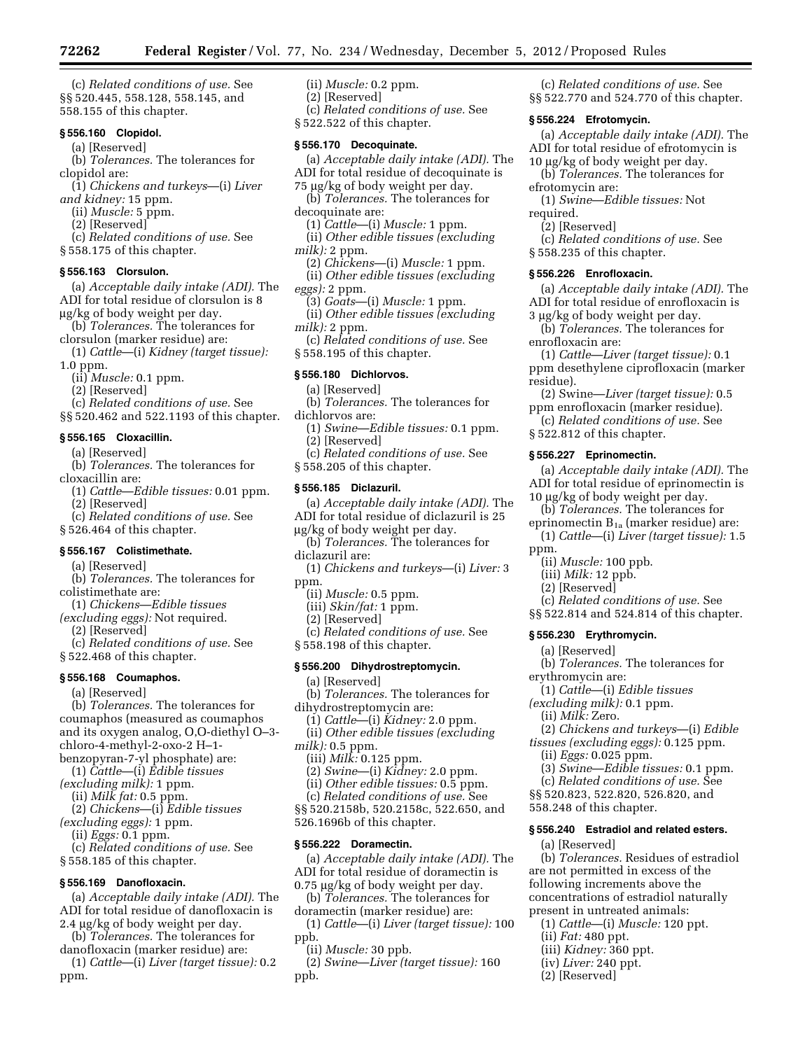(c) *Related conditions of use.* See §§ 520.445, 558.128, 558.145, and 558.155 of this chapter.

# **§ 556.160 Clopidol.**

(a) [Reserved]

(b) *Tolerances.* The tolerances for clopidol are:

- (1) *Chickens and turkeys*—(i) *Liver and kidney:* 15 ppm.
- (ii) *Muscle:* 5 ppm.
	- (2) [Reserved]
- (c) *Related conditions of use.* See
- § 558.175 of this chapter.

#### **§ 556.163 Clorsulon.**

(a) *Acceptable daily intake (ADI).* The ADI for total residue of clorsulon is 8 mg/kg of body weight per day.

- (b) *Tolerances.* The tolerances for clorsulon (marker residue) are:
- (1) *Cattle*—(i) *Kidney (target tissue):*  1.0 ppm.
	- (ii) *Muscle:* 0.1 ppm.

(2) [Reserved]

(c) *Related conditions of use.* See

§§ 520.462 and 522.1193 of this chapter.

# **§ 556.165 Cloxacillin.**

- (a) [Reserved]
- (b) *Tolerances.* The tolerances for cloxacillin are:
- (1) *Cattle*—*Edible tissues:* 0.01 ppm. (2) [Reserved]
- (c) *Related conditions of use.* See
- § 526.464 of this chapter.

# **§ 556.167 Colistimethate.**

(a) [Reserved]

- (b) *Tolerances.* The tolerances for colistimethate are:
- (1) *Chickens*—*Edible tissues*
- *(excluding eggs):* Not required. (2) [Reserved]

(c) *Related conditions of use.* See § 522.468 of this chapter.

#### **§ 556.168 Coumaphos.**

(a) [Reserved]

(b) *Tolerances.* The tolerances for coumaphos (measured as coumaphos and its oxygen analog, O,O-diethyl O–3 chloro-4-methyl-2-oxo-2 H–1 benzopyran-7-yl phosphate) are:

- (1) *Cattle*—(i) *Edible tissues*
- *(excluding milk):* 1 ppm.
- (ii) *Milk fat:* 0.5 ppm.
- (2) *Chickens*—(i) *Edible tissues*
- *(excluding eggs):* 1 ppm.
	- (ii) *Eggs:* 0.1 ppm.
- (c) *Related conditions of use.* See § 558.185 of this chapter.

# **§ 556.169 Danofloxacin.**

(a) *Acceptable daily intake (ADI).* The ADI for total residue of danofloxacin is 2.4 µg/kg of body weight per day.

- (b) *Tolerances.* The tolerances for danofloxacin (marker residue) are:
- (1) *Cattle*—(i) *Liver (target tissue):* 0.2 ppm.
- (ii) *Muscle:* 0.2 ppm.
- (2) [Reserved]

(c) *Related conditions of use.* See

§ 522.522 of this chapter.

## **§ 556.170 Decoquinate.**

- (a) *Acceptable daily intake (ADI).* The ADI for total residue of decoquinate is
- 75 µg/kg of body weight per day.
- (b) *Tolerances.* The tolerances for
- decoquinate are:
- (1) *Cattle*—(i) *Muscle:* 1 ppm. (ii) *Other edible tissues (excluding milk):* 2 ppm.
- 

(2) *Chickens*—(i) *Muscle:* 1 ppm. (ii) *Other edible tissues (excluding eggs):* 2 ppm.

- (3) *Goats*—(i) *Muscle:* 1 ppm.
- (ii) *Other edible tissues (excluding milk):* 2 ppm.
- (c) *Related conditions of use.* See
- § 558.195 of this chapter.

## **§ 556.180 Dichlorvos.**

- (a) [Reserved] (b) *Tolerances.* The tolerances for
- dichlorvos are:
- (1) *Swine*—*Edible tissues:* 0.1 ppm. (2) [Reserved]
- (c) *Related conditions of use.* See
- § 558.205 of this chapter.

# **§ 556.185 Diclazuril.**

- (a) *Acceptable daily intake (ADI).* The ADI for total residue of diclazuril is 25 mg/kg of body weight per day.
- (b) *Tolerances.* The tolerances for diclazuril are:
- (1) *Chickens and turkeys*—(i) *Liver:* 3
- ppm.
	- (ii) *Muscle:* 0.5 ppm.
- (iii) *Skin/fat:* 1 ppm.
- (2) [Reserved]
- (c) *Related conditions of use.* See § 558.198 of this chapter.

# **§ 556.200 Dihydrostreptomycin.**

- (a) [Reserved]
- (b) *Tolerances.* The tolerances for
- dihydrostreptomycin are:
- (1) *Cattle*—(i) *Kidney:* 2.0 ppm. (ii) *Other edible tissues (excluding*
- *milk):* 0.5 ppm.
	- (iii) *Milk:* 0.125 ppm.
	- (2) *Swine*—(i) *Kidney:* 2.0 ppm.
	- (ii) *Other edible tissues:* 0.5 ppm.

(c) *Related conditions of use.* See §§ 520.2158b, 520.2158c, 522.650, and 526.1696b of this chapter.

#### **§ 556.222 Doramectin.**

(a) *Acceptable daily intake (ADI).* The ADI for total residue of doramectin is  $0.75 \mu$ g/kg of body weight per day.

- (b) *Tolerances.* The tolerances for
- doramectin (marker residue) are:
- (1) *Cattle*—(i) *Liver (target tissue):* 100 ppb.
- (ii) *Muscle:* 30 ppb.

(2) *Swine*—*Liver (target tissue):* 160 ppb.

(c) *Related conditions of use.* See §§ 522.770 and 524.770 of this chapter.

#### **§ 556.224 Efrotomycin.**

(a) *Acceptable daily intake (ADI).* The ADI for total residue of efrotomycin is 10 µg/kg of body weight per day.

- (b) *Tolerances.* The tolerances for
- efrotomycin are:
- (1) *Swine*—*Edible tissues:* Not required.
	- (2) [Reserved]

enrofloxacin are:

residue).

ppm.

**§ 556.226 Enrofloxacin.** 

§ 522.812 of this chapter. **§ 556.227 Eprinomectin.** 

(ii) *Muscle:* 100 ppb. (iii) *Milk:* 12 ppb. (2) [Reserved]

**§ 556.230 Erythromycin.**  (a) [Reserved]

(ii) *Eggs:* 0.025 ppm.

558.248 of this chapter.

(a) [Reserved]

(ii) *Fat:* 480 ppt. (iii) *Kidney:* 360 ppt. (iv) *Liver:* 240 ppt. (2) [Reserved]

erythromycin are:

(c) *Related conditions of use.* See § 558.235 of this chapter.

(a) *Acceptable daily intake (ADI).* The ADI for total residue of enrofloxacin is 3 µg/kg of body weight per day. (b) *Tolerances.* The tolerances for

(1) *Cattle*—*Liver (target tissue):* 0.1 ppm desethylene ciprofloxacin (marker

(2) Swine—*Liver (target tissue):* 0.5 ppm enrofloxacin (marker residue). (c) *Related conditions of use.* See

(a) *Acceptable daily intake (ADI).* The ADI for total residue of eprinomectin is 10 μg/kg of body weight per day. (b) *Tolerances.* The tolerances for eprinomectin  $B_{1a}$  (marker residue) are: (1) *Cattle*—(i) *Liver (target tissue):* 1.5

(c) *Related conditions of use.* See §§ 522.814 and 524.814 of this chapter.

(b) *Tolerances.* The tolerances for

(2) *Chickens and turkeys*—(i) *Edible tissues (excluding eggs):* 0.125 ppm.

(3) *Swine*—*Edible tissues:* 0.1 ppm. (c) *Related conditions of use.* See §§ 520.823, 522.820, 526.820, and

**§ 556.240 Estradiol and related esters.** 

(b) *Tolerances.* Residues of estradiol are not permitted in excess of the following increments above the concentrations of estradiol naturally present in untreated animals: (1) *Cattle*—(i) *Muscle:* 120 ppt.

(1) *Cattle*—(i) *Edible tissues (excluding milk):* 0.1 ppm. (ii) *Milk:* Zero.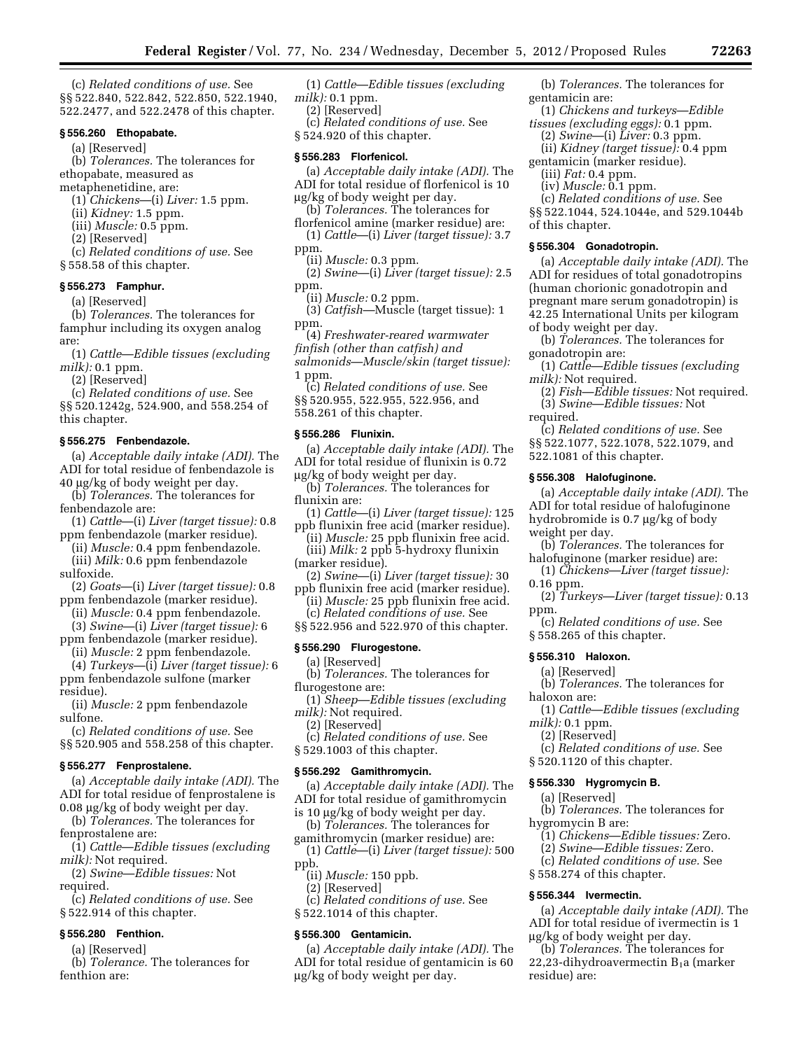(c) *Related conditions of use.* See §§ 522.840, 522.842, 522.850, 522.1940, 522.2477, and 522.2478 of this chapter.

## **§ 556.260 Ethopabate.**

(a) [Reserved]

(b) *Tolerances.* The tolerances for ethopabate, measured as

metaphenetidine, are:

(1) *Chickens*—(i) *Liver:* 1.5 ppm.

(ii) *Kidney:* 1.5 ppm.

(iii) *Muscle:* 0.5 ppm. (2) [Reserved]

(c) *Related conditions of use.* See

§ 558.58 of this chapter.

# **§ 556.273 Famphur.**

(a) [Reserved]

(b) *Tolerances.* The tolerances for famphur including its oxygen analog are:

(1) *Cattle*—*Edible tissues (excluding milk):* 0.1 ppm.

(2) [Reserved]

(c) *Related conditions of use.* See §§ 520.1242g, 524.900, and 558.254 of

this chapter.

# **§ 556.275 Fenbendazole.**

(a) *Acceptable daily intake (ADI).* The ADI for total residue of fenbendazole is 40 mg/kg of body weight per day.

(b) *Tolerances.* The tolerances for fenbendazole are:

(1) *Cattle*—(i) *Liver (target tissue):* 0.8

ppm fenbendazole (marker residue).

(ii) *Muscle:* 0.4 ppm fenbendazole. (iii) *Milk:* 0.6 ppm fenbendazole

sulfoxide.

- (2) *Goats*—(i) *Liver (target tissue):* 0.8 ppm fenbendazole (marker residue).
	- (ii) *Muscle:* 0.4 ppm fenbendazole.

(3) *Swine*—(i) *Liver (target tissue):* 6 ppm fenbendazole (marker residue).

(ii) *Muscle:* 2 ppm fenbendazole.

(4) *Turkeys*—(i) *Liver (target tissue):* 6 ppm fenbendazole sulfone (marker residue).

(ii) *Muscle:* 2 ppm fenbendazole sulfone.

(c) *Related conditions of use.* See §§ 520.905 and 558.258 of this chapter.

## **§ 556.277 Fenprostalene.**

(a) *Acceptable daily intake (ADI).* The ADI for total residue of fenprostalene is

0.08 µg/kg of body weight per day.

(b) *Tolerances.* The tolerances for fenprostalene are:

(1) *Cattle*—*Edible tissues (excluding milk):* Not required.

(2) *Swine*—*Edible tissues:* Not required.

(c) *Related conditions of use.* See § 522.914 of this chapter.

# **§ 556.280 Fenthion.**

(a) [Reserved]

(b) *Tolerance.* The tolerances for fenthion are:

(1) *Cattle*—*Edible tissues (excluding milk):* 0.1 ppm.

(2) [Reserved]

(c) *Related conditions of use.* See § 524.920 of this chapter.

#### **§ 556.283 Florfenicol.**

(a) *Acceptable daily intake (ADI).* The ADI for total residue of florfenicol is 10 mg/kg of body weight per day.

(b) *Tolerances.* The tolerances for

florfenicol amine (marker residue) are: (1) *Cattle*—(i) *Liver (target tissue):* 3.7

ppm. (ii) *Muscle:* 0.3 ppm.

(2) *Swine*—(i) *Liver (target tissue):* 2.5 ppm.

(ii) *Muscle:* 0.2 ppm.

(3) *Catfish*—Muscle (target tissue): 1 ppm.

(4) *Freshwater-reared warmwater* 

*finfish (other than catfish) and* 

*salmonids*—*Muscle/skin (target tissue):*  1 ppm.

(c) *Related conditions of use.* See

§§ 520.955, 522.955, 522.956, and

558.261 of this chapter.

# **§ 556.286 Flunixin.**

(a) *Acceptable daily intake (ADI).* The ADI for total residue of flunixin is 0.72  $\mu$ g/kg of body weight per day.

(b) *Tolerances.* The tolerances for flunixin are:

(1) *Cattle*—(i) *Liver (target tissue):* 125 ppb flunixin free acid (marker residue).

(ii) *Muscle:* 25 ppb flunixin free acid. (iii) *Milk:* 2 ppb 5-hydroxy flunixin (marker residue).

- (2) *Swine*—(i) *Liver (target tissue):* 30 ppb flunixin free acid (marker residue).
- (ii) *Muscle:* 25 ppb flunixin free acid. (c) *Related conditions of use.* See

§§ 522.956 and 522.970 of this chapter.

# **§ 556.290 Flurogestone.**

(a) [Reserved]

(b) *Tolerances.* The tolerances for flurogestone are:

(1) *Sheep*—*Edible tissues (excluding milk):* Not required.

- (2) [Reserved]
- (c) *Related conditions of use.* See
- § 529.1003 of this chapter.

#### **§ 556.292 Gamithromycin.**

(a) *Acceptable daily intake (ADI).* The ADI for total residue of gamithromycin

is 10  $\mu$ g/kg of body weight per day.

(b) *Tolerances.* The tolerances for

gamithromycin (marker residue) are: (1) *Cattle*—(i) *Liver (target tissue):* 500

- ppb.
	- (ii) *Muscle:* 150 ppb.
	- (2) [Reserved]

(c) *Related conditions of use.* See § 522.1014 of this chapter.

# **§ 556.300 Gentamicin.**

(a) *Acceptable daily intake (ADI).* The ADI for total residue of gentamicin is 60 mg/kg of body weight per day.

(b) *Tolerances.* The tolerances for gentamicin are:

(1) *Chickens and turkeys*—*Edible tissues (excluding eggs):* 0.1 ppm.

- (2) *Swine*—(i) *Liver:* 0.3 ppm.
- (ii) *Kidney (target tissue):* 0.4 ppm gentamicin (marker residue).
- (iii) *Fat:* 0.4 ppm.

(iv) *Muscle:* 0.1 ppm.

(c) *Related conditions of use.* See §§ 522.1044, 524.1044e, and 529.1044b of this chapter.

## **§ 556.304 Gonadotropin.**

(a) *Acceptable daily intake (ADI).* The ADI for residues of total gonadotropins (human chorionic gonadotropin and pregnant mare serum gonadotropin) is 42.25 International Units per kilogram of body weight per day.

(b) *Tolerances.* The tolerances for gonadotropin are:

(1) *Cattle*—*Edible tissues (excluding milk):* Not required.

- (2) *Fish*—*Edible tissues:* Not required.
- (3) *Swine*—*Edible tissues:* Not required. (c) *Related conditions of use.* See

522.1081 of this chapter. **§ 556.308 Halofuginone.** 

§ 558.265 of this chapter.

§ 520.1120 of this chapter. **§ 556.330 Hygromycin B.**  (a) [Reserved]

§ 558.274 of this chapter. **§ 556.344 Ivermectin.** 

mg/kg of body weight per day. (b) *Tolerances.* The tolerances for 22,23-dihydroavermectin  $B_1a$  (marker

**§ 556.310 Haloxon.**  (a) [Reserved]

haloxon are:

*milk):* 0.1 ppm. (2) [Reserved]

hygromycin B are:

residue) are:

weight per day.

0.16 ppm.

ppm.

§§ 522.1077, 522.1078, 522.1079, and

(b) *Tolerances.* The tolerances for halofuginone (marker residue) are: (1) *Chickens*—*Liver (target tissue):* 

(c) *Related conditions of use.* See

(b) *Tolerances.* The tolerances for

(c) *Related conditions of use.* See

(b) *Tolerances.* The tolerances for

(1) *Chickens*—*Edible tissues:* Zero. (2) *Swine*—*Edible tissues:* Zero. (c) *Related conditions of use.* See

(a) *Acceptable daily intake (ADI).* The ADI for total residue of ivermectin is 1

(1) *Cattle*—*Edible tissues (excluding* 

(a) *Acceptable daily intake (ADI).* The ADI for total residue of halofuginone hydrobromide is  $0.7 \mu g/kg$  of body

(2) *Turkeys*—*Liver (target tissue):* 0.13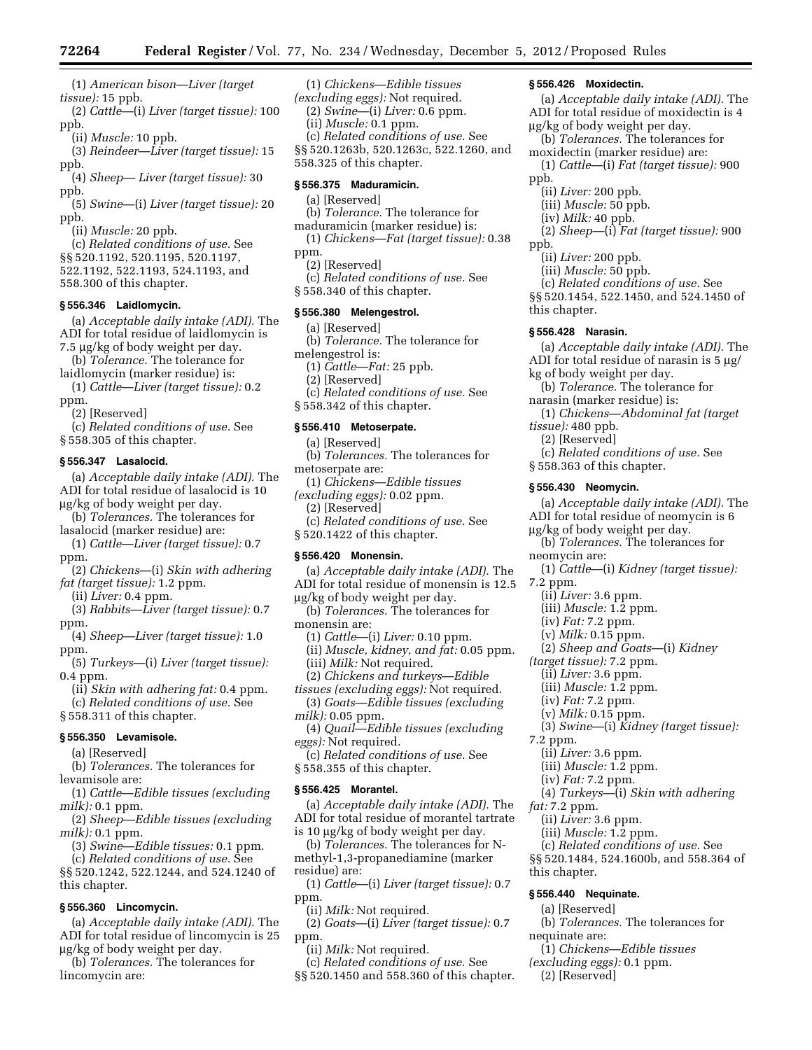(1) *American bison*—*Liver (target tissue):* 15 ppb.

(2) *Cattle*—(i) *Liver (target tissue):* 100 ppb.

(ii) *Muscle:* 10 ppb.

(3) *Reindeer*—*Liver (target tissue):* 15 ppb.

(4) *Sheep*— *Liver (target tissue):* 30 ppb.

(5) *Swine*—(i) *Liver (target tissue):* 20 ppb.

(ii) *Muscle:* 20 ppb.

(c) *Related conditions of use.* See

- §§ 520.1192, 520.1195, 520.1197,
- 522.1192, 522.1193, 524.1193, and
- 558.300 of this chapter.

# **§ 556.346 Laidlomycin.**

(a) *Acceptable daily intake (ADI).* The ADI for total residue of laidlomycin is 7.5 µg/kg of body weight per day.

(b) *Tolerance.* The tolerance for

laidlomycin (marker residue) is: (1) *Cattle*—*Liver (target tissue):* 0.2

ppm.

(2) [Reserved] (c) *Related conditions of use.* See § 558.305 of this chapter.

#### **§ 556.347 Lasalocid.**

(a) *Acceptable daily intake (ADI).* The ADI for total residue of lasalocid is 10 mg/kg of body weight per day.

(b) *Tolerances.* The tolerances for lasalocid (marker residue) are:

(1) *Cattle*—*Liver (target tissue):* 0.7 ppm.

(2) *Chickens*—(i) *Skin with adhering fat (target tissue):* 1.2 ppm.

(ii) *Liver:* 0.4 ppm.

(3) *Rabbits*—*Liver (target tissue):* 0.7 ppm.

(4) *Sheep*—*Liver (target tissue):* 1.0 ppm.

(5) *Turkeys*—(i) *Liver (target tissue):*  0.4 ppm.

- (ii) *Skin with adhering fat:* 0.4 ppm. (c) *Related conditions of use.* See
- § 558.311 of this chapter.

#### **§ 556.350 Levamisole.**

(a) [Reserved]

(b) *Tolerances.* The tolerances for levamisole are:

(1) *Cattle*—*Edible tissues (excluding milk):* 0.1 ppm.

(2) *Sheep*—*Edible tissues (excluding milk):* 0.1 ppm.

(3) *Swine*—*Edible tissues:* 0.1 ppm.

(c) *Related conditions of use.* See §§ 520.1242, 522.1244, and 524.1240 of this chapter.

## **§ 556.360 Lincomycin.**

(a) *Acceptable daily intake (ADI).* The ADI for total residue of lincomycin is 25 mg/kg of body weight per day.

(b) *Tolerances.* The tolerances for lincomycin are:

(1) *Chickens*—*Edible tissues (excluding eggs):* Not required. (2) *Swine*—(i) *Liver:* 0.6 ppm. (ii) *Muscle:* 0.1 ppm. (c) *Related conditions of use.* See §§ 520.1263b, 520.1263c, 522.1260, and 558.325 of this chapter.

## **§ 556.375 Maduramicin.**

# (a) [Reserved]

(b) *Tolerance.* The tolerance for maduramicin (marker residue) is:

- (1) *Chickens*—*Fat (target tissue):* 0.38
- ppm.

(2) [Reserved]

(c) *Related conditions of use.* See § 558.340 of this chapter.

#### **§ 556.380 Melengestrol.**

- (a) [Reserved]
- (b) *Tolerance.* The tolerance for melengestrol is:
	- (1) *Cattle*—*Fat:* 25 ppb.
	- (2) [Reserved]
- (c) *Related conditions of use.* See
- § 558.342 of this chapter.

# **§ 556.410 Metoserpate.**

- (a) [Reserved]
- (b) *Tolerances.* The tolerances for metoserpate are:
- (1) *Chickens*—*Edible tissues*
- *(excluding eggs):* 0.02 ppm.
	- (2) [Reserved]
- (c) *Related conditions of use.* See
- § 520.1422 of this chapter.

#### **§ 556.420 Monensin.**

- (a) *Acceptable daily intake (ADI).* The ADI for total residue of monensin is 12.5
- mg/kg of body weight per day.
- (b) *Tolerances.* The tolerances for monensin are:
	- (1) *Cattle*—(i) *Liver:* 0.10 ppm. (ii) *Muscle, kidney, and fat:* 0.05 ppm.
	- (iii) *Milk:* Not required.
	- (2) *Chickens and turkeys*—*Edible*
- *tissues (excluding eggs):* Not required.
- (3) *Goats*—*Edible tissues (excluding milk):* 0.05 ppm.

(4) *Quail*—*Edible tissues (excluding eggs):* Not required.

(c) *Related conditions of use.* See § 558.355 of this chapter.

#### **§ 556.425 Morantel.**

(a) *Acceptable daily intake (ADI).* The ADI for total residue of morantel tartrate is 10 μg/kg of body weight per day.

(b) *Tolerances.* The tolerances for Nmethyl-1,3-propanediamine (marker residue) are:

(1) *Cattle*—(i) *Liver (target tissue):* 0.7 ppm.

- (ii) *Milk:* Not required.
- (2) *Goats*—(i) *Liver (target tissue):* 0.7 ppm.

(ii) *Milk:* Not required.

(c) *Related conditions of use.* See §§ 520.1450 and 558.360 of this chapter.

#### **§ 556.426 Moxidectin.**

- (a) *Acceptable daily intake (ADI).* The ADI for total residue of moxidectin is 4 mg/kg of body weight per day. (b) *Tolerances.* The tolerances for moxidectin (marker residue) are: (1) *Cattle*—(i) *Fat (target tissue):* 900
- ppb.
	- (ii) *Liver:* 200 ppb.
	- (iii) *Muscle:* 50 ppb.
	- (iv) *Milk:* 40 ppb.

(2) *Sheep*—(i) *Fat (target tissue):* 900

- ppb.
	- (ii) *Liver:* 200 ppb.
	- (iii) *Muscle:* 50 ppb.

(c) *Related conditions of use.* See §§ 520.1454, 522.1450, and 524.1450 of this chapter.

#### **§ 556.428 Narasin.**

(a) *Acceptable daily intake (ADI).* The ADI for total residue of narasin is  $5 \mu g$ /

kg of body weight per day.

- (b) *Tolerance.* The tolerance for narasin (marker residue) is:
- (1) *Chickens*—*Abdominal fat (target tissue):* 480 ppb.
	- (2) [Reserved]
	- (c) *Related conditions of use.* See

(b) *Tolerances.* The tolerances for

(2) *Sheep and Goats*—(i) *Kidney* 

(3) *Swine*—(i) *Kidney (target tissue):* 

(4) *Turkeys*—(i) *Skin with adhering* 

(c) *Related conditions of use.* See §§ 520.1484, 524.1600b, and 558.364 of

(b) *Tolerances.* The tolerances for

(1) *Chickens*—*Edible tissues (excluding eggs):* 0.1 ppm. (2) [Reserved]

(1) *Cattle*—(i) *Kidney (target tissue):* 

(a) *Acceptable daily intake (ADI).* The ADI for total residue of neomycin is 6

§ 558.363 of this chapter.

(ii) *Liver:* 3.6 ppm. (iii) *Muscle:* 1.2 ppm. (iv) *Fat:* 7.2 ppm. (v) *Milk:* 0.15 ppm.

*(target tissue):* 7.2 ppm. (ii) *Liver:* 3.6 ppm. (iii) *Muscle:* 1.2 ppm. (iv) *Fat:* 7.2 ppm. (v) *Milk:* 0.15 ppm.

(ii) *Liver:* 3.6 ppm. (iii) *Muscle:* 1.2 ppm. (iv) *Fat:* 7.2 ppm.

(ii) *Liver:* 3.6 ppm. (iii) *Muscle:* 1.2 ppm.

**§ 556.440 Nequinate.**  (a) [Reserved]

mg/kg of body weight per day.

**§ 556.430 Neomycin.** 

neomycin are:

7.2 ppm.

7.2 ppm.

*fat:* 7.2 ppm.

this chapter.

nequinate are: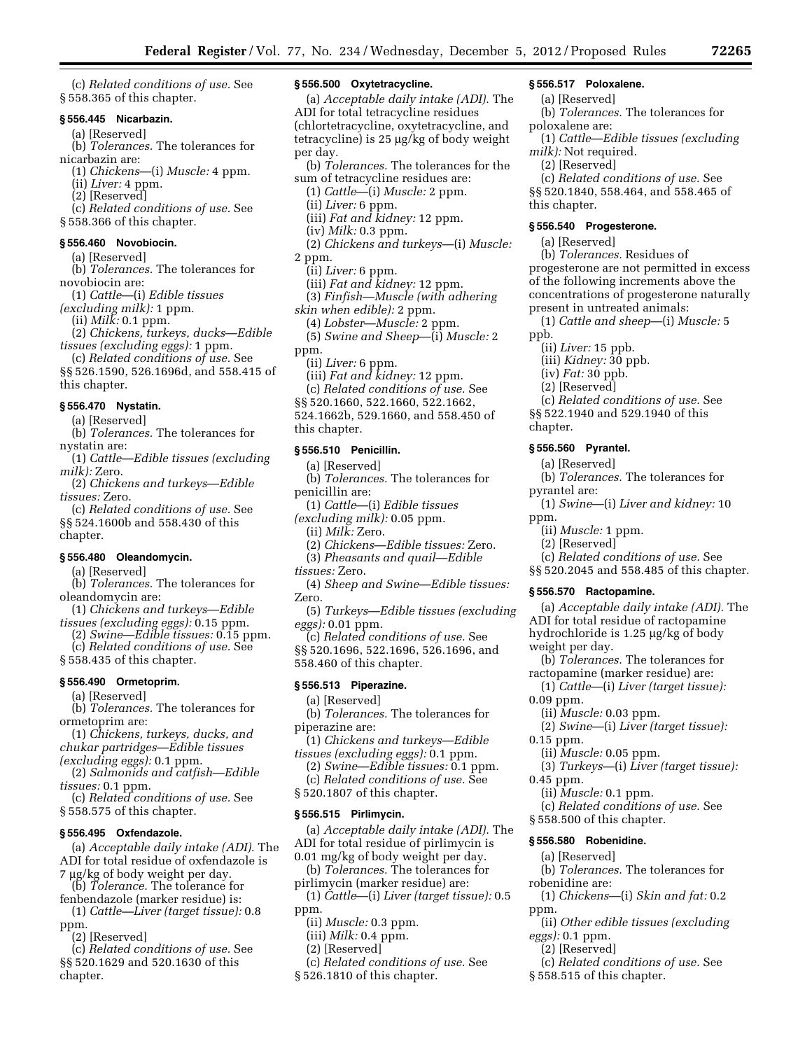(c) *Related conditions of use.* See § 558.365 of this chapter.

# **§ 556.445 Nicarbazin.**

- (a) [Reserved]
- (b) *Tolerances.* The tolerances for nicarbazin are:
	- (1) *Chickens*—(i) *Muscle:* 4 ppm.
	- (ii) *Liver:* 4 ppm.
	- (2) [Reserved]
- (c) *Related conditions of use.* See
- § 558.366 of this chapter.

# **§ 556.460 Novobiocin.**

- (a) [Reserved] (b) *Tolerances.* The tolerances for
- novobiocin are:
- (1) *Cattle*—(i) *Edible tissues*
- *(excluding milk):* 1 ppm.
- (ii) *Milk:* 0.1 ppm.
- (2) *Chickens, turkeys, ducks*—*Edible tissues (excluding eggs):* 1 ppm.
- (c) *Related conditions of use.* See §§ 526.1590, 526.1696d, and 558.415 of
- this chapter.

# **§ 556.470 Nystatin.**

- (a) [Reserved]
- (b) *Tolerances.* The tolerances for nystatin are:
- (1) *Cattle*—*Edible tissues (excluding milk):* Zero.
- (2) *Chickens and turkeys*—*Edible tissues:* Zero.

(c) *Related conditions of use.* See §§ 524.1600b and 558.430 of this chapter.

# **§ 556.480 Oleandomycin.**

- (a) [Reserved]
- (b) *Tolerances.* The tolerances for oleandomycin are:
- (1) *Chickens and turkeys*—*Edible*
- *tissues (excluding eggs):* 0.15 ppm. (2) *Swine*—*Edible tissues:* 0.15 ppm.
- (c) *Related conditions of use.* See
- § 558.435 of this chapter.

# **§ 556.490 Ormetoprim.**

(a) [Reserved]

(b) *Tolerances.* The tolerances for ormetoprim are:

- (1) *Chickens, turkeys, ducks, and chukar partridges*—*Edible tissues*
- *(excluding eggs):* 0.1 ppm.
- (2) *Salmonids and catfish*—*Edible tissues:* 0.1 ppm.

(c) *Related conditions of use.* See § 558.575 of this chapter.

#### **§ 556.495 Oxfendazole.**

- (a) *Acceptable daily intake (ADI).* The ADI for total residue of oxfendazole is 7 µg/kg of body weight per day.
- (b) *Tolerance.* The tolerance for
- fenbendazole (marker residue) is: (1) *Cattle—Liver (target tissue):* 0.8
- ppm. (2) [Reserved]
- (c) *Related conditions of use.* See §§ 520.1629 and 520.1630 of this chapter.

# **§ 556.500 Oxytetracycline.**

(a) *Acceptable daily intake (ADI).* The ADI for total tetracycline residues (chlortetracycline, oxytetracycline, and tetracycline) is  $25 \mu g/kg$  of body weight per day. (b) *Tolerances.* The tolerances for the sum of tetracycline residues are:

(1) *Cattle*—(i) *Muscle:* 2 ppm. (ii) *Liver:* 6 ppm. (iii) *Fat and kidney:* 12 ppm. (iv) *Milk:* 0.3 ppm. (2) *Chickens and turkeys*—(i) *Muscle:*  2 ppm. (ii) *Liver:* 6 ppm. (iii) *Fat and kidney:* 12 ppm. (3) *Finfish*—*Muscle (with adhering* 

- *skin when edible):* 2 ppm.
- (4) *Lobster*—*Muscle:* 2 ppm. (5) *Swine and Sheep*—(i) *Muscle:* 2 ppm.
- (ii) *Liver:* 6 ppm.
	- (iii) *Fat and kidney:* 12 ppm.
- (c) *Related conditions of use.* See
- §§ 520.1660, 522.1660, 522.1662,
- 524.1662b, 529.1660, and 558.450 of
- this chapter.

## **§ 556.510 Penicillin.**

- (a) [Reserved]
- (b) *Tolerances.* The tolerances for penicillin are:
- (1) *Cattle*—(i) *Edible tissues*
- *(excluding milk):* 0.05 ppm.
	- (ii) *Milk:* Zero.
	- (2) *Chickens*—*Edible tissues:* Zero.
	- (3) *Pheasants and quail*—*Edible*
- *tissues:* Zero.
- (4) *Sheep and Swine*—*Edible tissues:*  Zero.
- (5) *Turkeys*—*Edible tissues (excluding eggs):* 0.01 ppm.
- (c) *Related conditions of use.* See §§ 520.1696, 522.1696, 526.1696, and 558.460 of this chapter.

#### **§ 556.513 Piperazine.**

- (a) [Reserved]
- (b) *Tolerances.* The tolerances for piperazine are:
- (1) *Chickens and turkeys*—*Edible tissues (excluding eggs):* 0.1 ppm.
	- (2) *Swine*—*Edible tissues:* 0.1 ppm.
	- (c) *Related conditions of use.* See
- § 520.1807 of this chapter.

#### **§ 556.515 Pirlimycin.**

(a) *Acceptable daily intake (ADI).* The ADI for total residue of pirlimycin is 0.01 mg/kg of body weight per day.

- (b) *Tolerances.* The tolerances for
- pirlimycin (marker residue) are:
- (1) *Cattle*—(i) *Liver (target tissue):* 0.5 ppm.
	- (ii) *Muscle:* 0.3 ppm.
	- (iii) *Milk:* 0.4 ppm.
	- (2) [Reserved]
- (c) *Related conditions of use.* See
- § 526.1810 of this chapter.

# **§ 556.517 Poloxalene.**

- (a) [Reserved]
- (b) *Tolerances.* The tolerances for poloxalene are:
- (1) *Cattle*—*Edible tissues (excluding milk):* Not required.
- (2) [Reserved]

(c) *Related conditions of use.* See §§ 520.1840, 558.464, and 558.465 of this chapter.

# **§ 556.540 Progesterone.**

- (a) [Reserved]
- (b) *Tolerances.* Residues of
- progesterone are not permitted in excess of the following increments above the concentrations of progesterone naturally present in untreated animals:
	- (1) *Cattle and sheep*—(i) *Muscle:* 5

(c) *Related conditions of use.* See §§ 522.1940 and 529.1940 of this

(b) *Tolerances.* The tolerances for

(1) *Swine*—(i) *Liver and kidney:* 10

(c) *Related conditions of use.* See §§ 520.2045 and 558.485 of this chapter.

(b) *Tolerances.* The tolerances for ractopamine (marker residue) are: (1) *Cattle*—(i) *Liver (target tissue):* 

(2) *Swine*—(i) *Liver (target tissue):* 

(3) *Turkeys*—(i) *Liver (target tissue):* 

(c) *Related conditions of use.* See

(b) *Tolerances.* The tolerances for

(1) *Chickens*—(i) *Skin and fat:* 0.2

(ii) *Other edible tissues (excluding* 

(c) *Related conditions of use.* See

(a) *Acceptable daily intake (ADI).* The ADI for total residue of ractopamine hydrochloride is 1.25 µg/kg of body

ppb.

chapter.

- (ii) *Liver:* 15 ppb.
- (iii) *Kidney:* 30 ppb.
- (iv) *Fat:* 30 ppb. (2) [Reserved]

**§ 556.560 Pyrantel.**  (a) [Reserved]

> (ii) *Muscle:* 1 ppm. (2) [Reserved]

**§ 556.570 Ractopamine.** 

(ii) *Muscle:* 0.03 ppm.

(ii) *Muscle:* 0.05 ppm.

(ii) *Muscle:* 0.1 ppm.

§ 558.500 of this chapter. **§ 556.580 Robenidine.**  (a) [Reserved]

§ 558.515 of this chapter.

weight per day.

0.09 ppm.

0.15 ppm.

0.45 ppm.

robenidine are:

*eggs):* 0.1 ppm. (2) [Reserved]

ppm.

pyrantel are:

ppm.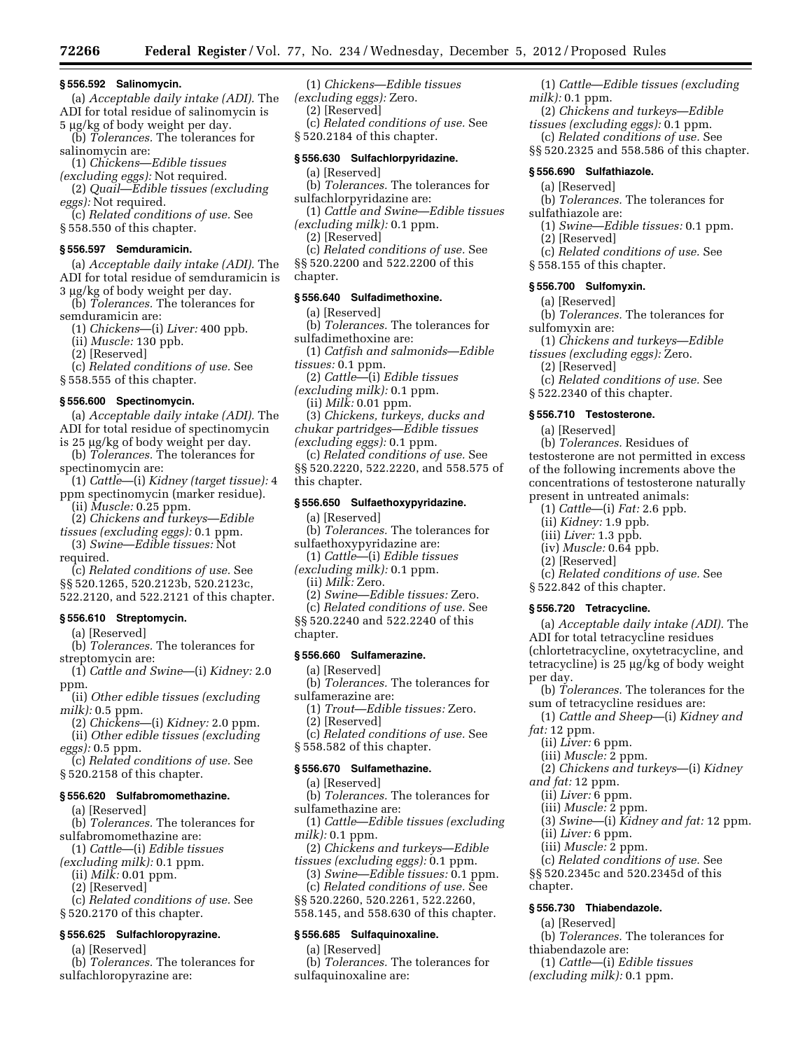#### **§ 556.592 Salinomycin.**

(a) *Acceptable daily intake (ADI).* The ADI for total residue of salinomycin is

5 µg/kg of body weight per day. (b) *Tolerances.* The tolerances for salinomycin are:

(1) *Chickens*—*Edible tissues* 

*(excluding eggs):* Not required.

(2) *Quail*—*Edible tissues (excluding eggs):* Not required.

(c) *Related conditions of use.* See § 558.550 of this chapter.

#### **§ 556.597 Semduramicin.**

(a) *Acceptable daily intake (ADI).* The ADI for total residue of semduramicin is 3 µg/kg of body weight per day.

(b) *Tolerances.* The tolerances for

semduramicin are:

(1) *Chickens*—(i) *Liver:* 400 ppb.

(ii) *Muscle:* 130 ppb.

(2) [Reserved]

(c) *Related conditions of use.* See § 558.555 of this chapter.

#### **§ 556.600 Spectinomycin.**

(a) *Acceptable daily intake (ADI).* The ADI for total residue of spectinomycin is 25 µg/kg of body weight per day.

(b) *Tolerances.* The tolerances for spectinomycin are:

(1) *Cattle*—(i) *Kidney (target tissue):* 4 ppm spectinomycin (marker residue).

(ii) *Muscle:* 0.25 ppm.

(2) *Chickens and turkeys*—*Edible* 

*tissues (excluding eggs):* 0.1 ppm. (3) *Swine*—*Edible tissues:* Not

required.

(c) *Related conditions of use.* See §§ 520.1265, 520.2123b, 520.2123c,

522.2120, and 522.2121 of this chapter.

## **§ 556.610 Streptomycin.**

(a) [Reserved]

(b) *Tolerances.* The tolerances for streptomycin are:

(1) *Cattle and Swine*—(i) *Kidney:* 2.0 ppm.

(ii) *Other edible tissues (excluding milk):* 0.5 ppm.

- (2) *Chickens*—(i) *Kidney:* 2.0 ppm. (ii) *Other edible tissues (excluding*
- *eggs):* 0.5 ppm.
- (c) *Related conditions of use.* See § 520.2158 of this chapter.

## **§ 556.620 Sulfabromomethazine.**

(a) [Reserved]

(b) *Tolerances.* The tolerances for sulfabromomethazine are:

(1) *Cattle*—(i) *Edible tissues* 

*(excluding milk):* 0.1 ppm.

(ii) *Milk:* 0.01 ppm.

(2) [Reserved]

(c) *Related conditions of use.* See § 520.2170 of this chapter.

# **§ 556.625 Sulfachloropyrazine.**

(a) [Reserved]

(b) *Tolerances.* The tolerances for sulfachloropyrazine are:

(1) *Chickens*—*Edible tissues* 

*(excluding eggs):* Zero.

(2) [Reserved]

(c) *Related conditions of use.* See

§ 520.2184 of this chapter.

# **§ 556.630 Sulfachlorpyridazine.**

(a) [Reserved]

- (b) *Tolerances.* The tolerances for sulfachlorpyridazine are:
- (1) *Cattle and Swine*—*Edible tissues (excluding milk):* 0.1 ppm.
	- (2) [Reserved]

(c) *Related conditions of use.* See §§ 520.2200 and 522.2200 of this chapter.

#### **§ 556.640 Sulfadimethoxine.**

(a) [Reserved]

(b) *Tolerances.* The tolerances for sulfadimethoxine are:

(1) *Catfish and salmonids*—*Edible tissues:* 0.1 ppm.

- (2) *Cattle*—(i) *Edible tissues (excluding milk):* 0.1 ppm.
- (ii) *Milk:* 0.01 ppm.
- (3) *Chickens, turkeys, ducks and chukar partridges*—*Edible tissues*
- *(excluding eggs):* 0.1 ppm.

(c) *Related conditions of use.* See §§ 520.2220, 522.2220, and 558.575 of this chapter.

#### **§ 556.650 Sulfaethoxypyridazine.**

(a) [Reserved]

- (b) *Tolerances.* The tolerances for sulfaethoxypyridazine are:
- (1) *Cattle*—(i) *Edible tissues (excluding milk):* 0.1 ppm.
	- (ii) *Milk:* Zero.
	- (2) *Swine*—*Edible tissues:* Zero.
	- (c) *Related conditions of use.* See

§§ 520.2240 and 522.2240 of this

chapter.

# **§ 556.660 Sulfamerazine.**

(a) [Reserved]

- (b) *Tolerances.* The tolerances for sulfamerazine are:
- (1) *Trout*—*Edible tissues:* Zero. (2) [Reserved]
- (c) *Related conditions of use.* See § 558.582 of this chapter.

# **§ 556.670 Sulfamethazine.**

(a) [Reserved]

(b) *Tolerances.* The tolerances for sulfamethazine are:

- (1) *Cattle*—*Edible tissues (excluding milk):* 0.1 ppm.
- (2) *Chickens and turkeys*—*Edible*
- *tissues (excluding eggs):* 0.1 ppm.
	- (3) *Swine*—*Edible tissues:* 0.1 ppm. (c) *Related conditions of use.* See
- §§ 520.2260, 520.2261, 522.2260,

558.145, and 558.630 of this chapter.

# **§ 556.685 Sulfaquinoxaline.**

(a) [Reserved]

(b) *Tolerances.* The tolerances for sulfaquinoxaline are:

(1) *Cattle*—*Edible tissues (excluding milk):* 0.1 ppm.

- (2) *Chickens and turkeys*—*Edible tissues (excluding eggs):* 0.1 ppm.
- (c) *Related conditions of use.* See §§ 520.2325 and 558.586 of this chapter.

#### **§ 556.690 Sulfathiazole.**

(a) [Reserved]

(b) *Tolerances.* The tolerances for sulfathiazole are:

(1) *Swine*—*Edible tissues:* 0.1 ppm.

(2) [Reserved]

sulfomyxin are:

(2) [Reserved]

§ 522.2340 of this chapter. **§ 556.710 Testosterone.**  (a) [Reserved]

(b) *Tolerances.* Residues of testosterone are not permitted in excess of the following increments above the concentrations of testosterone naturally

present in untreated animals: (1) *Cattle*—(i) *Fat:* 2.6 ppb. (ii) *Kidney:* 1.9 ppb. (iii) *Liver:* 1.3 ppb. (iv) *Muscle:* 0.64 ppb. (2) [Reserved]

§ 522.842 of this chapter. **§ 556.720 Tetracycline.** 

per day.

*fat:* 12 ppm.

chapter.

(ii) *Liver:* 6 ppm. (iii) *Muscle:* 2 ppm.

(ii) *Liver:* 6 ppm. (iii) *Muscle:* 2 ppm.

**§ 556.730 Thiabendazole.**  (a) [Reserved]

thiabendazole are:

*and fat:* 12 ppm. (ii) *Liver:* 6 ppm. (iii) *Muscle:* 2 ppm.

(c) *Related conditions of use.* See

ADI for total tetracycline residues (chlortetracycline, oxytetracycline, and tetracycline) is  $25 \mu g/kg$  of body weight

sum of tetracycline residues are:

(a) *Acceptable daily intake (ADI).* The

(b) *Tolerances.* The tolerances for the

(1) *Cattle and Sheep*—(i) *Kidney and* 

(2) *Chickens and turkeys*—(i) *Kidney* 

(3) *Swine*—(i) *Kidney and fat:* 12 ppm.

(c) *Related conditions of use.* See §§ 520.2345c and 520.2345d of this

(b) *Tolerances.* The tolerances for

(1) *Cattle*—(i) *Edible tissues (excluding milk):* 0.1 ppm.

**§ 556.700 Sulfomyxin.**  (a) [Reserved]

(c) *Related conditions of use.* See § 558.155 of this chapter.

(b) *Tolerances.* The tolerances for

(1) *Chickens and turkeys*—*Edible tissues (excluding eggs):* Zero.

(c) *Related conditions of use.* See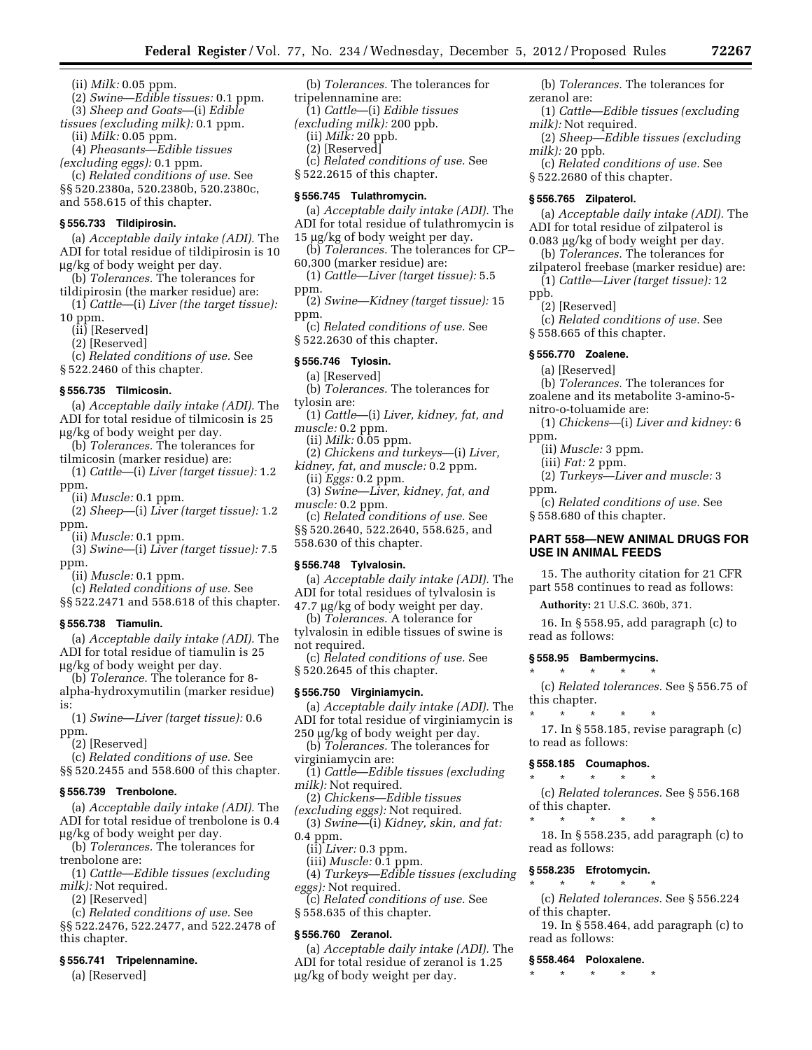- (ii) *Milk:* 0.05 ppm.
- (2) *Swine*—*Edible tissues:* 0.1 ppm. (3) *Sheep and Goats*—(i) *Edible*
- *tissues (excluding milk):* 0.1 ppm.
	- (ii) *Milk:* 0.05 ppm.

(4) *Pheasants*—*Edible tissues* 

*(excluding eggs):* 0.1 ppm.

(c) *Related conditions of use.* See §§ 520.2380a, 520.2380b, 520.2380c, and 558.615 of this chapter.

# **§ 556.733 Tildipirosin.**

(a) *Acceptable daily intake (ADI).* The ADI for total residue of tildipirosin is 10 mg/kg of body weight per day.

- (b) *Tolerances.* The tolerances for tildipirosin (the marker residue) are:
- (1) *Cattle*—(i) *Liver (the target tissue):*  10 ppm.
	- (ii) [Reserved]
	- (2) [Reserved]

(c) *Related conditions of use.* See

§ 522.2460 of this chapter.

# **§ 556.735 Tilmicosin.**

(a) *Acceptable daily intake (ADI).* The ADI for total residue of tilmicosin is 25 mg/kg of body weight per day.

- (b) *Tolerances.* The tolerances for tilmicosin (marker residue) are:
- (1) *Cattle*—(i) *Liver (target tissue):* 1.2 ppm.

(ii) *Muscle:* 0.1 ppm.

(2) *Sheep*—(i) *Liver (target tissue):* 1.2 ppm.

(ii) *Muscle:* 0.1 ppm.

- (3) *Swine*—(i) *Liver (target tissue):* 7.5 ppm.
- (ii) *Muscle:* 0.1 ppm.
- (c) *Related conditions of use.* See §§ 522.2471 and 558.618 of this chapter.
- **§ 556.738 Tiamulin.**

(a) *Acceptable daily intake (ADI).* The ADI for total residue of tiamulin is 25 mg/kg of body weight per day.

- (b) *Tolerance.* The tolerance for 8 alpha-hydroxymutilin (marker residue) is:
- (1) *Swine*—*Liver (target tissue):* 0.6 ppm.

(2) [Reserved]

(c) *Related conditions of use.* See

§§ 520.2455 and 558.600 of this chapter.

#### **§ 556.739 Trenbolone.**

(a) *Acceptable daily intake (ADI).* The ADI for total residue of trenbolone is 0.4 mg/kg of body weight per day.

(b) *Tolerances.* The tolerances for trenbolone are:

(1) *Cattle*—*Edible tissues (excluding milk):* Not required.

- (2) [Reserved]
- (c) *Related conditions of use.* See §§ 522.2476, 522.2477, and 522.2478 of

this chapter.

#### **§ 556.741 Tripelennamine.**

(a) [Reserved]

(b) *Tolerances.* The tolerances for tripelennamine are:

(1) *Cattle*—(i) *Edible tissues* 

*(excluding milk):* 200 ppb.

(ii) *Milk:* 20 ppb.

- (2) [Reserved]
- (c) *Related conditions of use.* See § 522.2615 of this chapter.

# **§ 556.745 Tulathromycin.**

- (a) *Acceptable daily intake (ADI).* The ADI for total residue of tulathromycin is
- 15 µg/kg of body weight per day. (b) *Tolerances.* The tolerances for CP–
- 60,300 (marker residue) are:
- (1) *Cattle*—*Liver (target tissue):* 5.5 ppm.
- (2) *Swine*—*Kidney (target tissue):* 15 ppm.
- (c) *Related conditions of use.* See § 522.2630 of this chapter.

#### **§ 556.746 Tylosin.**

- (a) [Reserved]
- (b) *Tolerances.* The tolerances for tylosin are:
- (1) *Cattle*—(i) *Liver, kidney, fat, and muscle:* 0.2 ppm.
	- (ii) *Milk:* 0.05 ppm.
- (2) *Chickens and turkeys*—(i) *Liver, kidney, fat, and muscle:* 0.2 ppm.
- (ii) *Eggs:* 0.2 ppm.
- (3) *Swine*—*Liver, kidney, fat, and muscle:* 0.2 ppm.
- (c) *Related conditions of use.* See §§ 520.2640, 522.2640, 558.625, and 558.630 of this chapter.

#### **§ 556.748 Tylvalosin.**

- (a) *Acceptable daily intake (ADI).* The ADI for total residues of tylvalosin is
- 47.7 mg/kg of body weight per day. (b) *Tolerances.* A tolerance for
- tylvalosin in edible tissues of swine is not required.
- (c) *Related conditions of use.* See § 520.2645 of this chapter.

#### **§ 556.750 Virginiamycin.**

- (a) *Acceptable daily intake (ADI).* The ADI for total residue of virginiamycin is 250 µg/kg of body weight per day.
- (b) *Tolerances.* The tolerances for virginiamycin are:
- (1) *Cattle*—*Edible tissues (excluding milk):* Not required.
- (2) *Chickens*—*Edible tissues*
- *(excluding eggs):* Not required.
- (3) *Swine*—(i) *Kidney, skin, and fat:*  0.4 ppm.
	- (ii) *Liver:* 0.3 ppm.
	- (iii) *Muscle:* 0.1 ppm.
- (4) *Turkeys*—*Edible tissues (excluding eggs):* Not required.
- (c) *Related conditions of use.* See
- § 558.635 of this chapter.

# **§ 556.760 Zeranol.**

(a) *Acceptable daily intake (ADI).* The ADI for total residue of zeranol is 1.25 mg/kg of body weight per day.

(b) *Tolerances.* The tolerances for zeranol are:

- (1) *Cattle*—*Edible tissues (excluding milk):* Not required.
- (2) *Sheep*—*Edible tissues (excluding milk):* 20 ppb.
- (c) *Related conditions of use.* See § 522.2680 of this chapter.

#### **§ 556.765 Zilpaterol.**

- (a) *Acceptable daily intake (ADI).* The ADI for total residue of zilpaterol is
- 0.083 µg/kg of body weight per day. (b) *Tolerances.* The tolerances for
- zilpaterol freebase (marker residue) are: (1) *Cattle*—*Liver (target tissue):* 12
- ppb.

ppm.

- (2) [Reserved]
- (c) *Related conditions of use.* See § 558.665 of this chapter.

# **§ 556.770 Zoalene.**

- (a) [Reserved]
- (b) *Tolerances.* The tolerances for
- zoalene and its metabolite 3-amino-5 nitro-o-toluamide are:
- (1) *Chickens*—(i) *Liver and kidney:* 6 ppm.

(2) *Turkeys*—*Liver and muscle:* 3

(c) *Related conditions of use.* See

**PART 558—NEW ANIMAL DRUGS FOR** 

15. The authority citation for 21 CFR part 558 continues to read as follows: **Authority:** 21 U.S.C. 360b, 371.

16. In § 558.95, add paragraph (c) to

(c) *Related tolerances.* See § 556.75 of

17. In § 558.185, revise paragraph (c)

(c) *Related tolerances.* See § 556.168

18. In § 558.235, add paragraph (c) to

(c) *Related tolerances.* See § 556.224

19. In § 558.464, add paragraph (c) to

(ii) *Muscle:* 3 ppm. (iii) *Fat:* 2 ppm.

§ 558.680 of this chapter.

**USE IN ANIMAL FEEDS** 

**§ 558.95 Bambermycins.**  \* \* \* \* \*

\* \* \* \* \*

to read as follows: **§ 558.185 Coumaphos.**  \* \* \* \* \*

of this chapter. \* \* \* \* \*

read as follows:

of this chapter.

read as follows: **§ 558.464 Poloxalene.**  \* \* \* \* \*

**§ 558.235 Efrotomycin.**  \* \* \* \* \*

read as follows:

this chapter.